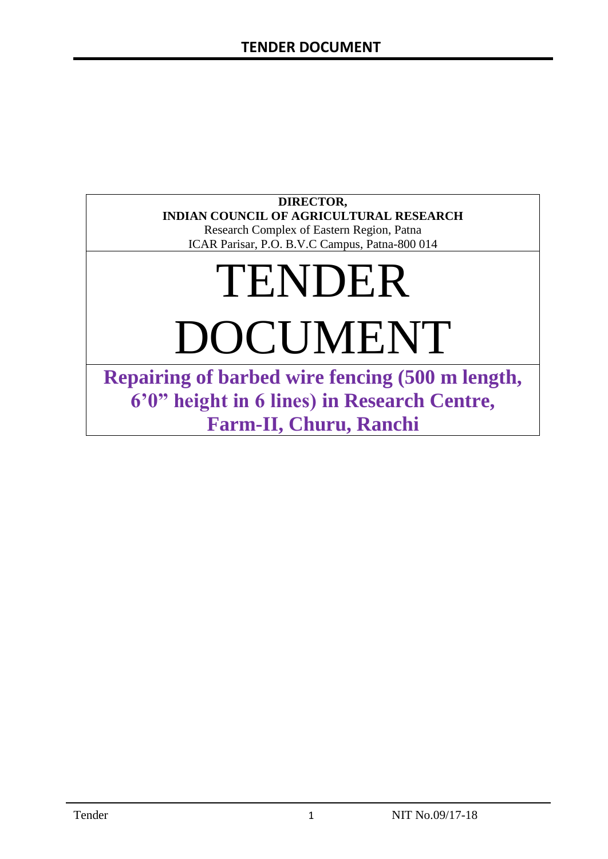### **DIRECTOR, INDIAN COUNCIL OF AGRICULTURAL RESEARCH**

Research Complex of Eastern Region, Patna ICAR Parisar, P.O. B.V.C Campus, Patna-800 014

# TENDER DOCUMENT

**Repairing of barbed wire fencing (500 m length, 6'0" height in 6 lines) in Research Centre, Farm-II, Churu, Ranchi**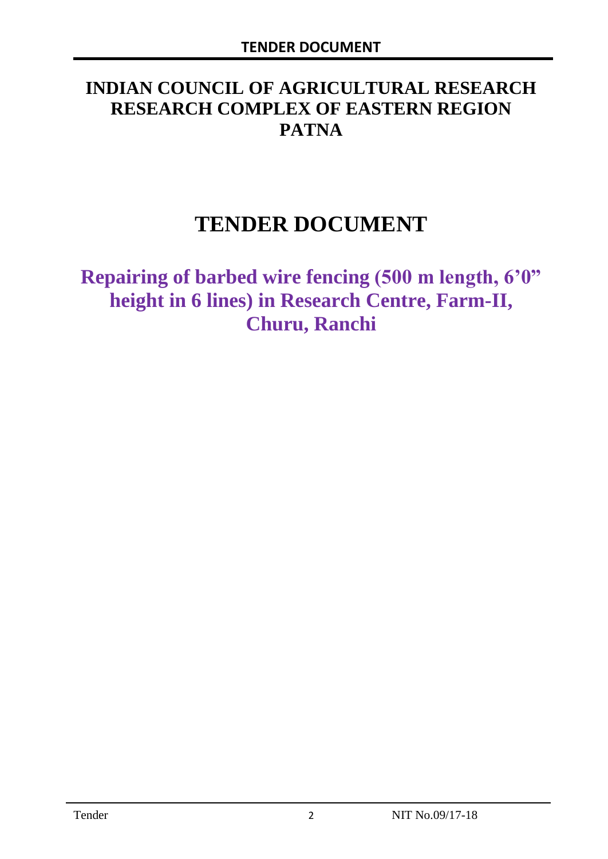# **INDIAN COUNCIL OF AGRICULTURAL RESEARCH RESEARCH COMPLEX OF EASTERN REGION PATNA**

# **TENDER DOCUMENT**

**Repairing of barbed wire fencing (500 m length, 6'0" height in 6 lines) in Research Centre, Farm-II, Churu, Ranchi**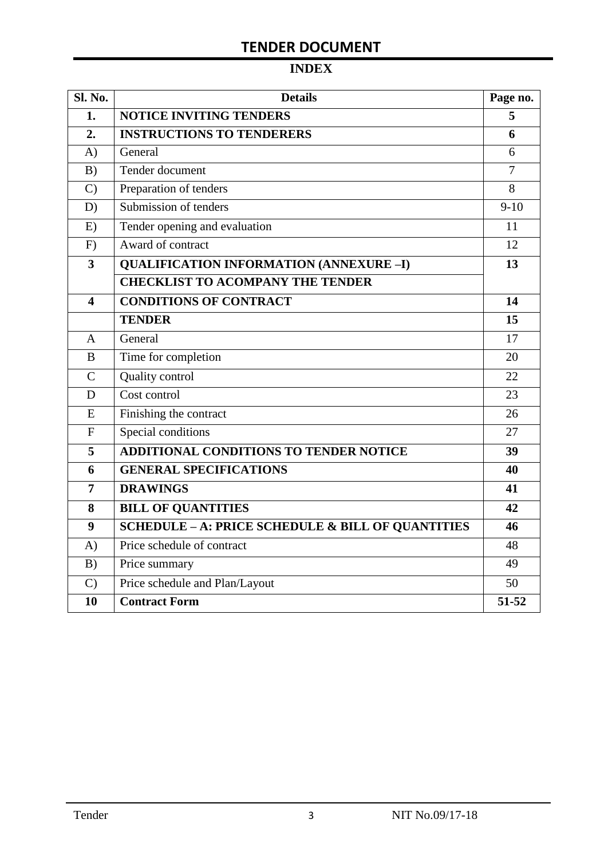# **TENDER DOCUMENT**

# **INDEX**

| Sl. No.                 | <b>Details</b>                                               | Page no.       |
|-------------------------|--------------------------------------------------------------|----------------|
| 1.                      | <b>NOTICE INVITING TENDERS</b>                               | 5              |
| 2.                      | <b>INSTRUCTIONS TO TENDERERS</b>                             | 6              |
| A)                      | General                                                      | 6              |
| B)                      | Tender document                                              | $\overline{7}$ |
| $\mathcal{C}$           | Preparation of tenders                                       | 8              |
| D)                      | Submission of tenders                                        | $9-10$         |
| E)                      | Tender opening and evaluation                                | 11             |
| F)                      | Award of contract                                            | 12             |
| $\overline{\mathbf{3}}$ | <b>QUALIFICATION INFORMATION (ANNEXURE-I)</b>                | 13             |
|                         | <b>CHECKLIST TO ACOMPANY THE TENDER</b>                      |                |
| $\overline{\mathbf{4}}$ | <b>CONDITIONS OF CONTRACT</b>                                | 14             |
|                         | <b>TENDER</b>                                                | 15             |
| $\overline{A}$          | General                                                      | 17             |
| B                       | Time for completion                                          | 20             |
| $\overline{C}$          | Quality control                                              | 22             |
| D                       | Cost control                                                 | 23             |
| E                       | Finishing the contract                                       | 26             |
| $\mathbf{F}$            | Special conditions                                           | 27             |
| 5                       | <b>ADDITIONAL CONDITIONS TO TENDER NOTICE</b>                | 39             |
| 6                       | <b>GENERAL SPECIFICATIONS</b>                                | 40             |
| $\overline{7}$          | <b>DRAWINGS</b>                                              | 41             |
| 8                       | <b>BILL OF QUANTITIES</b>                                    | 42             |
| 9                       | <b>SCHEDULE - A: PRICE SCHEDULE &amp; BILL OF QUANTITIES</b> | 46             |
| A)                      | Price schedule of contract                                   | 48             |
| B)                      | Price summary                                                | 49             |
| $\mathcal{C}$           | Price schedule and Plan/Layout                               | 50             |
| 10                      | <b>Contract Form</b>                                         | 51-52          |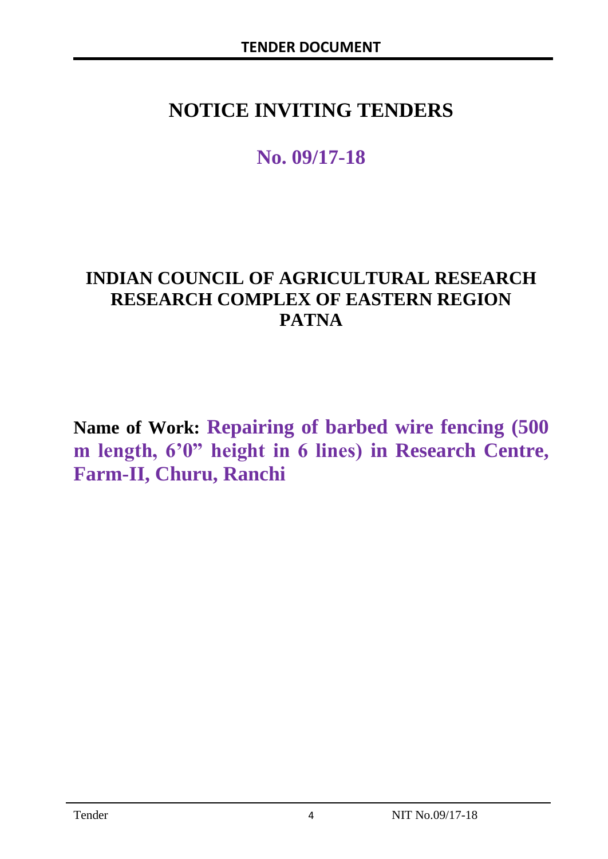# **NOTICE INVITING TENDERS**

# **No. 09/17-18**

# **INDIAN COUNCIL OF AGRICULTURAL RESEARCH RESEARCH COMPLEX OF EASTERN REGION PATNA**

**Name of Work: Repairing of barbed wire fencing (500 m length, 6'0" height in 6 lines) in Research Centre, Farm-II, Churu, Ranchi**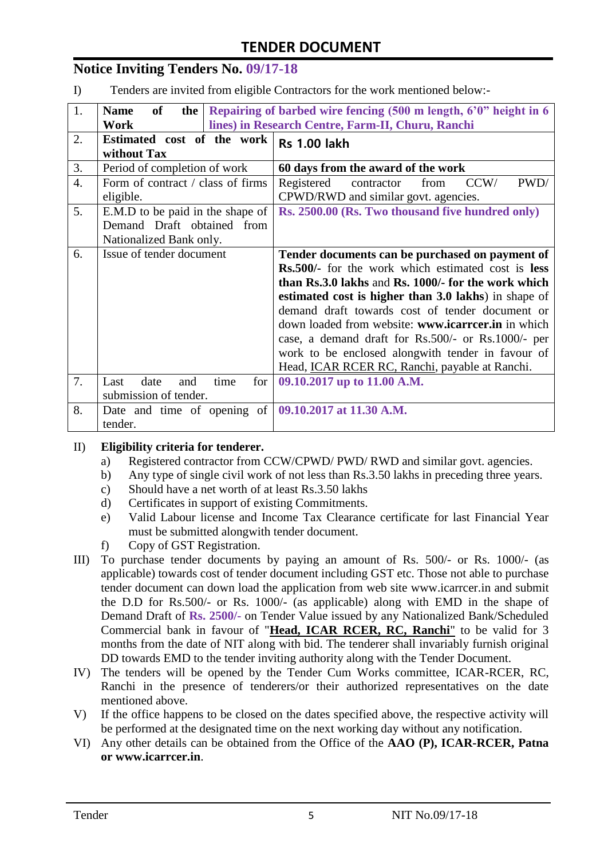# **TENDER DOCUMENT**

### **Notice Inviting Tenders No. 09/17-18**

I) Tenders are invited from eligible Contractors for the work mentioned below:-

| 1. | of<br><b>Name</b><br>the                                     | Repairing of barbed wire fencing (500 m length, 6'0" height in 6                         |  |  |
|----|--------------------------------------------------------------|------------------------------------------------------------------------------------------|--|--|
|    | Work                                                         | lines) in Research Centre, Farm-II, Churu, Ranchi                                        |  |  |
| 2. | Estimated cost of the work<br>without Tax                    | <b>Rs 1.00 lakh</b>                                                                      |  |  |
| 3. | Period of completion of work                                 | 60 days from the award of the work                                                       |  |  |
| 4. | Form of contract / class of firms<br>eligible.               | PWD/<br>Registered<br>CCW/<br>contractor<br>from<br>CPWD/RWD and similar govt. agencies. |  |  |
| 5. | E.M.D to be paid in the shape of                             | Rs. 2500.00 (Rs. Two thousand five hundred only)                                         |  |  |
|    | Demand Draft obtained from                                   |                                                                                          |  |  |
|    | Nationalized Bank only.                                      |                                                                                          |  |  |
| 6. | Issue of tender document                                     | Tender documents can be purchased on payment of                                          |  |  |
|    |                                                              | Rs.500/- for the work which estimated cost is less                                       |  |  |
|    |                                                              | than Rs.3.0 lakhs and Rs. 1000/- for the work which                                      |  |  |
|    |                                                              | estimated cost is higher than 3.0 lakhs) in shape of                                     |  |  |
|    |                                                              | demand draft towards cost of tender document or                                          |  |  |
|    |                                                              | down loaded from website: www.icarrcer.in in which                                       |  |  |
|    |                                                              | case, a demand draft for Rs.500/- or Rs.1000/- per                                       |  |  |
|    |                                                              | work to be enclosed alongwith tender in favour of                                        |  |  |
|    |                                                              | Head, ICAR RCER RC, Ranchi, payable at Ranchi.                                           |  |  |
| 7. | time<br>date<br>Last<br>and<br>for                           | 09.10.2017 up to 11.00 A.M.                                                              |  |  |
|    | submission of tender.                                        |                                                                                          |  |  |
| 8. | Date and time of opening of $\vert$ 09.10.2017 at 11.30 A.M. |                                                                                          |  |  |
|    | tender.                                                      |                                                                                          |  |  |

#### II) **Eligibility criteria for tenderer.**

- a) Registered contractor from CCW/CPWD/ PWD/ RWD and similar govt. agencies.
- b) Any type of single civil work of not less than Rs.3.50 lakhs in preceding three years.
- c) Should have a net worth of at least Rs.3.50 lakhs
- d) Certificates in support of existing Commitments.
- e) Valid Labour license and Income Tax Clearance certificate for last Financial Year must be submitted alongwith tender document.
- f) Copy of GST Registration.
- III) To purchase tender documents by paying an amount of Rs. 500/- or Rs. 1000/- (as applicable) towards cost of tender document including GST etc. Those not able to purchase tender document can down load the application from web site www.icarrcer.in and submit the D.D for Rs.500/- or Rs. 1000/- (as applicable) along with EMD in the shape of Demand Draft of **Rs. 2500/-** on Tender Value issued by any Nationalized Bank/Scheduled Commercial bank in favour of "**Head, ICAR RCER, RC, Ranchi**" to be valid for 3 months from the date of NIT along with bid. The tenderer shall invariably furnish original DD towards EMD to the tender inviting authority along with the Tender Document.
- IV) The tenders will be opened by the Tender Cum Works committee, ICAR-RCER, RC, Ranchi in the presence of tenderers/or their authorized representatives on the date mentioned above.
- V) If the office happens to be closed on the dates specified above, the respective activity will be performed at the designated time on the next working day without any notification.
- VI) Any other details can be obtained from the Office of the **AAO (P), ICAR-RCER, Patna or www.icarrcer.in**.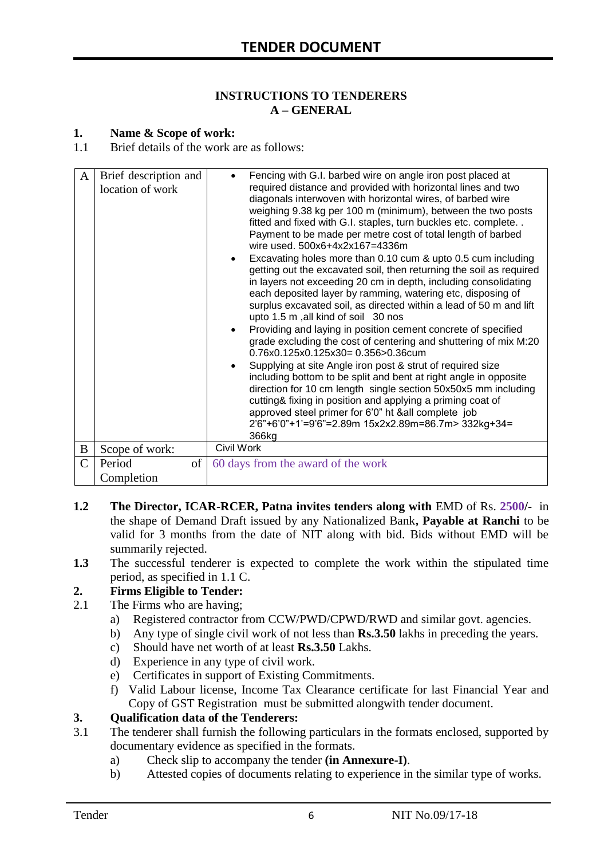#### **INSTRUCTIONS TO TENDERERS A – GENERAL**

#### **1. Name & Scope of work:**

1.1 Brief details of the work are as follows:

| A              | Brief description and<br>location of work | Fencing with G.I. barbed wire on angle iron post placed at<br>required distance and provided with horizontal lines and two<br>diagonals interwoven with horizontal wires, of barbed wire<br>weighing 9.38 kg per 100 m (minimum), between the two posts<br>fitted and fixed with G.I. staples, turn buckles etc. complete<br>Payment to be made per metre cost of total length of barbed<br>wire used. 500x6+4x2x167=4336m<br>Excavating holes more than 0.10 cum & upto 0.5 cum including<br>getting out the excavated soil, then returning the soil as required<br>in layers not exceeding 20 cm in depth, including consolidating<br>each deposited layer by ramming, watering etc, disposing of<br>surplus excavated soil, as directed within a lead of 50 m and lift<br>upto 1.5 m, all kind of soil 30 nos<br>Providing and laying in position cement concrete of specified<br>grade excluding the cost of centering and shuttering of mix M:20<br>0.76x0.125x0.125x30= 0.356>0.36cum<br>Supplying at site Angle iron post & strut of required size<br>including bottom to be split and bent at right angle in opposite<br>direction for 10 cm length single section 50x50x5 mm including<br>cutting& fixing in position and applying a priming coat of<br>approved steel primer for 6'0" ht &all complete job<br>2'6"+6'0"+1'=9'6"=2.89m 15x2x2.89m=86.7m> 332kg+34=<br>366kg |
|----------------|-------------------------------------------|--------------------------------------------------------------------------------------------------------------------------------------------------------------------------------------------------------------------------------------------------------------------------------------------------------------------------------------------------------------------------------------------------------------------------------------------------------------------------------------------------------------------------------------------------------------------------------------------------------------------------------------------------------------------------------------------------------------------------------------------------------------------------------------------------------------------------------------------------------------------------------------------------------------------------------------------------------------------------------------------------------------------------------------------------------------------------------------------------------------------------------------------------------------------------------------------------------------------------------------------------------------------------------------------------------------------------------------------------------------------------------------|
| B              | Scope of work:                            | Civil Work                                                                                                                                                                                                                                                                                                                                                                                                                                                                                                                                                                                                                                                                                                                                                                                                                                                                                                                                                                                                                                                                                                                                                                                                                                                                                                                                                                           |
| $\overline{C}$ | Period<br>of                              | 60 days from the award of the work                                                                                                                                                                                                                                                                                                                                                                                                                                                                                                                                                                                                                                                                                                                                                                                                                                                                                                                                                                                                                                                                                                                                                                                                                                                                                                                                                   |
|                | Completion                                |                                                                                                                                                                                                                                                                                                                                                                                                                                                                                                                                                                                                                                                                                                                                                                                                                                                                                                                                                                                                                                                                                                                                                                                                                                                                                                                                                                                      |
|                |                                           |                                                                                                                                                                                                                                                                                                                                                                                                                                                                                                                                                                                                                                                                                                                                                                                                                                                                                                                                                                                                                                                                                                                                                                                                                                                                                                                                                                                      |

- **1.2 The Director, ICAR-RCER, Patna invites tenders along with** EMD of Rs. **2500/-** in the shape of Demand Draft issued by any Nationalized Bank**, Payable at Ranchi** to be valid for 3 months from the date of NIT along with bid. Bids without EMD will be summarily rejected.
- **1.3** The successful tenderer is expected to complete the work within the stipulated time period, as specified in 1.1 C.

#### **2. Firms Eligible to Tender:**

- 2.1 The Firms who are having;
	- a) Registered contractor from CCW/PWD/CPWD/RWD and similar govt. agencies.
	- b) Any type of single civil work of not less than **Rs.3.50** lakhs in preceding the years.
	- c) Should have net worth of at least **Rs.3.50** Lakhs.
	- d) Experience in any type of civil work.
	- e) Certificates in support of Existing Commitments.
	- f) Valid Labour license, Income Tax Clearance certificate for last Financial Year and Copy of GST Registration must be submitted alongwith tender document.

#### **3. Qualification data of the Tenderers:**

- 3.1 The tenderer shall furnish the following particulars in the formats enclosed, supported by documentary evidence as specified in the formats.
	- a) Check slip to accompany the tender **(in Annexure-I)**.
	- b) Attested copies of documents relating to experience in the similar type of works.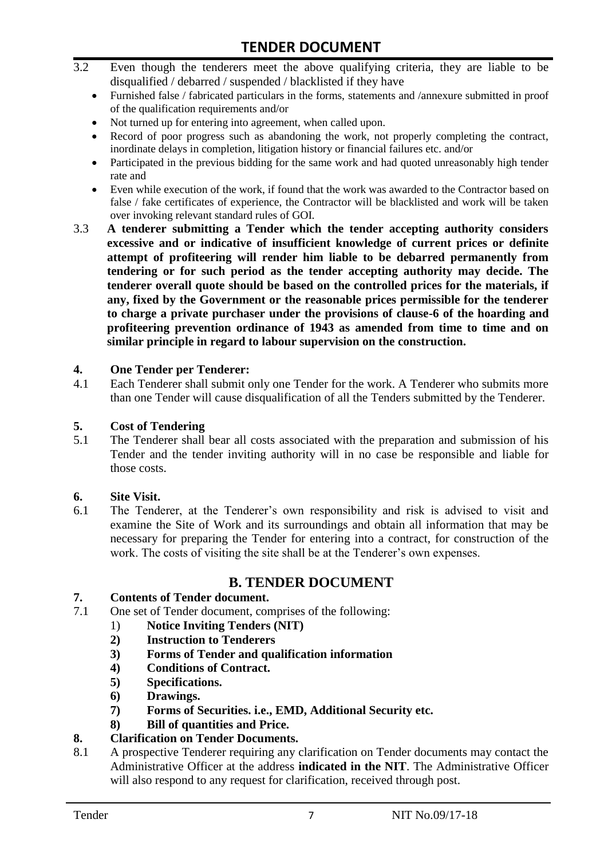- 3.2 Even though the tenderers meet the above qualifying criteria, they are liable to be disqualified / debarred / suspended / blacklisted if they have
	- Furnished false / fabricated particulars in the forms, statements and /annexure submitted in proof of the qualification requirements and/or
	- Not turned up for entering into agreement, when called upon.
	- Record of poor progress such as abandoning the work, not properly completing the contract, inordinate delays in completion, litigation history or financial failures etc. and/or
	- Participated in the previous bidding for the same work and had quoted unreasonably high tender rate and
	- Even while execution of the work, if found that the work was awarded to the Contractor based on false / fake certificates of experience, the Contractor will be blacklisted and work will be taken over invoking relevant standard rules of GOI.
- 3.3 **A tenderer submitting a Tender which the tender accepting authority considers excessive and or indicative of insufficient knowledge of current prices or definite attempt of profiteering will render him liable to be debarred permanently from tendering or for such period as the tender accepting authority may decide. The tenderer overall quote should be based on the controlled prices for the materials, if any, fixed by the Government or the reasonable prices permissible for the tenderer to charge a private purchaser under the provisions of clause-6 of the hoarding and profiteering prevention ordinance of 1943 as amended from time to time and on similar principle in regard to labour supervision on the construction.**

#### **4. One Tender per Tenderer:**

4.1 Each Tenderer shall submit only one Tender for the work. A Tenderer who submits more than one Tender will cause disqualification of all the Tenders submitted by the Tenderer.

#### **5. Cost of Tendering**

5.1 The Tenderer shall bear all costs associated with the preparation and submission of his Tender and the tender inviting authority will in no case be responsible and liable for those costs.

#### **6. Site Visit.**

6.1 The Tenderer, at the Tenderer's own responsibility and risk is advised to visit and examine the Site of Work and its surroundings and obtain all information that may be necessary for preparing the Tender for entering into a contract, for construction of the work. The costs of visiting the site shall be at the Tenderer's own expenses.

#### **B. TENDER DOCUMENT**

#### **7. Contents of Tender document.**

- 7.1 One set of Tender document, comprises of the following:
	- 1) **Notice Inviting Tenders (NIT)**
	- **2) Instruction to Tenderers**
	- **3) Forms of Tender and qualification information**
	- **4) Conditions of Contract.**
	- **5) Specifications.**
	- **6) Drawings.**
	- **7) Forms of Securities. i.e., EMD, Additional Security etc.**
	- **8) Bill of quantities and Price.**

#### **8. Clarification on Tender Documents.**

8.1 A prospective Tenderer requiring any clarification on Tender documents may contact the Administrative Officer at the address **indicated in the NIT**. The Administrative Officer will also respond to any request for clarification, received through post.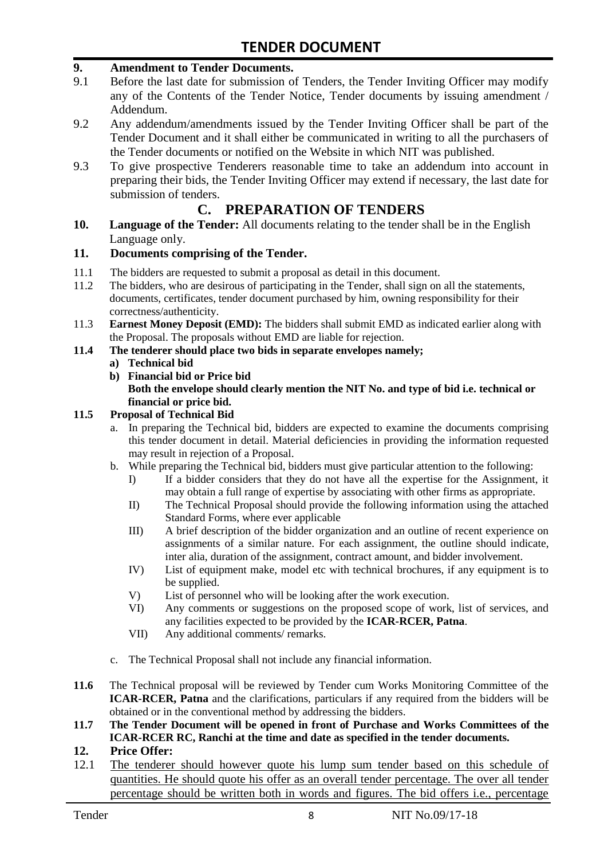#### **9. Amendment to Tender Documents.**

- 9.1 Before the last date for submission of Tenders, the Tender Inviting Officer may modify any of the Contents of the Tender Notice, Tender documents by issuing amendment / Addendum.
- 9.2 Any addendum/amendments issued by the Tender Inviting Officer shall be part of the Tender Document and it shall either be communicated in writing to all the purchasers of the Tender documents or notified on the Website in which NIT was published.
- 9.3 To give prospective Tenderers reasonable time to take an addendum into account in preparing their bids, the Tender Inviting Officer may extend if necessary, the last date for submission of tenders.

### **C. PREPARATION OF TENDERS**

**10. Language of the Tender:** All documents relating to the tender shall be in the English Language only.

#### **11. Documents comprising of the Tender.**

- 11.1 The bidders are requested to submit a proposal as detail in this document.<br>11.2 The bidders, who are desirous of participating in the Tender, shall sign on
- The bidders, who are desirous of participating in the Tender, shall sign on all the statements, documents, certificates, tender document purchased by him, owning responsibility for their correctness/authenticity.
- 11.3 **Earnest Money Deposit (EMD):** The bidders shall submit EMD as indicated earlier along with the Proposal. The proposals without EMD are liable for rejection.
- **11.4 The tenderer should place two bids in separate envelopes namely;**

#### **a) Technical bid**

- **b) Financial bid or Price bid**
	- **Both the envelope should clearly mention the NIT No. and type of bid i.e. technical or financial or price bid.**

#### **11.5 Proposal of Technical Bid**

- a. In preparing the Technical bid, bidders are expected to examine the documents comprising this tender document in detail. Material deficiencies in providing the information requested may result in rejection of a Proposal.
- b. While preparing the Technical bid, bidders must give particular attention to the following:
	- I) If a bidder considers that they do not have all the expertise for the Assignment, it may obtain a full range of expertise by associating with other firms as appropriate.
	- II) The Technical Proposal should provide the following information using the attached Standard Forms, where ever applicable
	- III) A brief description of the bidder organization and an outline of recent experience on assignments of a similar nature. For each assignment, the outline should indicate, inter alia, duration of the assignment, contract amount, and bidder involvement.
	- IV) List of equipment make, model etc with technical brochures, if any equipment is to be supplied.
	- V) List of personnel who will be looking after the work execution.
	- VI) Any comments or suggestions on the proposed scope of work, list of services, and any facilities expected to be provided by the **ICAR-RCER, Patna**.
	- VII) Any additional comments/ remarks.
- c. The Technical Proposal shall not include any financial information.
- **11.6** The Technical proposal will be reviewed by Tender cum Works Monitoring Committee of the **ICAR-RCER, Patna** and the clarifications, particulars if any required from the bidders will be obtained or in the conventional method by addressing the bidders.
- **11.7 The Tender Document will be opened in front of Purchase and Works Committees of the ICAR-RCER RC, Ranchi at the time and date as specified in the tender documents.**

#### **12. Price Offer:**

12.1 The tenderer should however quote his lump sum tender based on this schedule of quantities. He should quote his offer as an overall tender percentage. The over all tender percentage should be written both in words and figures. The bid offers i.e., percentage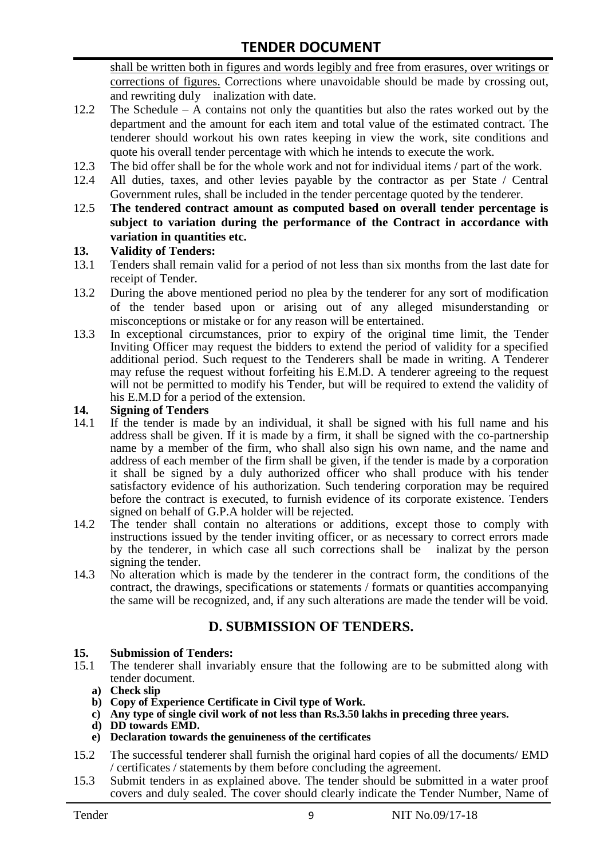shall be written both in figures and words legibly and free from erasures, over writings or corrections of figures. Corrections where unavoidable should be made by crossing out, and rewriting duly inalization with date.

- 12.2 The Schedule A contains not only the quantities but also the rates worked out by the department and the amount for each item and total value of the estimated contract. The tenderer should workout his own rates keeping in view the work, site conditions and quote his overall tender percentage with which he intends to execute the work.
- 12.3 The bid offer shall be for the whole work and not for individual items / part of the work.
- 12.4 All duties, taxes, and other levies payable by the contractor as per State / Central Government rules, shall be included in the tender percentage quoted by the tenderer.
- 12.5 **The tendered contract amount as computed based on overall tender percentage is subject to variation during the performance of the Contract in accordance with variation in quantities etc.**

#### **13. Validity of Tenders:**

- 13.1 Tenders shall remain valid for a period of not less than six months from the last date for receipt of Tender.
- 13.2 During the above mentioned period no plea by the tenderer for any sort of modification of the tender based upon or arising out of any alleged misunderstanding or misconceptions or mistake or for any reason will be entertained.
- 13.3 In exceptional circumstances, prior to expiry of the original time limit, the Tender Inviting Officer may request the bidders to extend the period of validity for a specified additional period. Such request to the Tenderers shall be made in writing. A Tenderer may refuse the request without forfeiting his E.M.D. A tenderer agreeing to the request will not be permitted to modify his Tender, but will be required to extend the validity of his E.M.D for a period of the extension.

# **14.** Signing of Tenders<br>14.1 If the tender is made

- If the tender is made by an individual, it shall be signed with his full name and his address shall be given. If it is made by a firm, it shall be signed with the co-partnership name by a member of the firm, who shall also sign his own name, and the name and address of each member of the firm shall be given, if the tender is made by a corporation it shall be signed by a duly authorized officer who shall produce with his tender satisfactory evidence of his authorization. Such tendering corporation may be required before the contract is executed, to furnish evidence of its corporate existence. Tenders signed on behalf of G.P.A holder will be rejected.
- 14.2 The tender shall contain no alterations or additions, except those to comply with instructions issued by the tender inviting officer, or as necessary to correct errors made by the tenderer, in which case all such corrections shall be inalizat by the person signing the tender.
- 14.3 No alteration which is made by the tenderer in the contract form, the conditions of the contract, the drawings, specifications or statements / formats or quantities accompanying the same will be recognized, and, if any such alterations are made the tender will be void.

## **D. SUBMISSION OF TENDERS.**

#### **15. Submission of Tenders:**

- 15.1 The tenderer shall invariably ensure that the following are to be submitted along with tender document.
	- **a) Check slip**
	- **b) Copy of Experience Certificate in Civil type of Work.**
	- **c) Any type of single civil work of not less than Rs.3.50 lakhs in preceding three years.**
	- **d) DD towards EMD.**
	- **e) Declaration towards the genuineness of the certificates**
- 15.2 The successful tenderer shall furnish the original hard copies of all the documents/ EMD / certificates / statements by them before concluding the agreement.
- 15.3 Submit tenders in as explained above. The tender should be submitted in a water proof covers and duly sealed. The cover should clearly indicate the Tender Number, Name of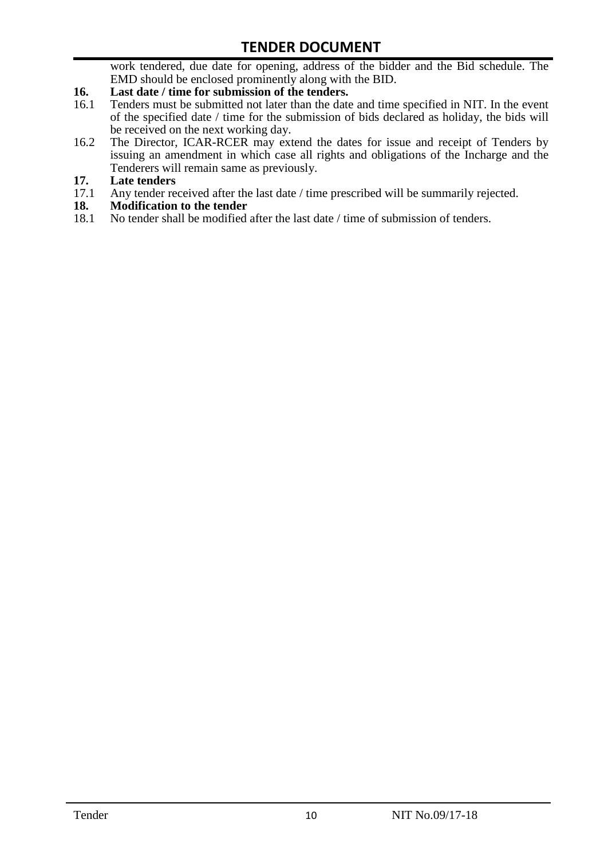work tendered, due date for opening, address of the bidder and the Bid schedule. The EMD should be enclosed prominently along with the BID.

- **16. Last date / time for submission of the tenders.**<br>16.1 Tenders must be submitted not later than the date
- 16.1 Tenders must be submitted not later than the date and time specified in NIT. In the event of the specified date / time for the submission of bids declared as holiday, the bids will be received on the next working day.
- 16.2 The Director, ICAR-RCER may extend the dates for issue and receipt of Tenders by issuing an amendment in which case all rights and obligations of the Incharge and the Tenderers will remain same as previously.
- **17. Late tenders**
- 17.1 Any tender received after the last date / time prescribed will be summarily rejected.<br>18. Modification to the tender
- **18. Modification to the tender**<br>18.1 No tender shall be modified
- No tender shall be modified after the last date / time of submission of tenders.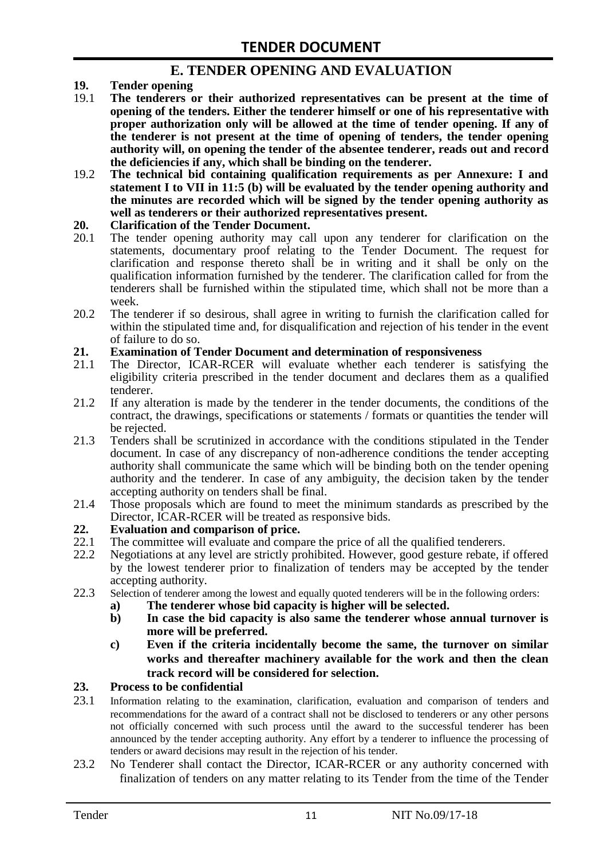## **E. TENDER OPENING AND EVALUATION**

- **19. Tender opening**
- 19.1 **The tenderers or their authorized representatives can be present at the time of opening of the tenders. Either the tenderer himself or one of his representative with proper authorization only will be allowed at the time of tender opening. If any of the tenderer is not present at the time of opening of tenders, the tender opening authority will, on opening the tender of the absentee tenderer, reads out and record the deficiencies if any, which shall be binding on the tenderer.**
- 19.2 **The technical bid containing qualification requirements as per Annexure: I and statement I to VII in 11:5 (b) will be evaluated by the tender opening authority and the minutes are recorded which will be signed by the tender opening authority as well as tenderers or their authorized representatives present.**

#### **20. Clarification of the Tender Document.**

- 20.1 The tender opening authority may call upon any tenderer for clarification on the statements, documentary proof relating to the Tender Document. The request for clarification and response thereto shall be in writing and it shall be only on the qualification information furnished by the tenderer. The clarification called for from the tenderers shall be furnished within the stipulated time, which shall not be more than a week.
- 20.2 The tenderer if so desirous, shall agree in writing to furnish the clarification called for within the stipulated time and, for disqualification and rejection of his tender in the event of failure to do so.

# **21. Examination of Tender Document and determination of responsiveness**

- 21.1 The Director, ICAR-RCER will evaluate whether each tenderer is satisfying the eligibility criteria prescribed in the tender document and declares them as a qualified tenderer.
- 21.2 If any alteration is made by the tenderer in the tender documents, the conditions of the contract, the drawings, specifications or statements / formats or quantities the tender will be rejected.
- 21.3 Tenders shall be scrutinized in accordance with the conditions stipulated in the Tender document. In case of any discrepancy of non-adherence conditions the tender accepting authority shall communicate the same which will be binding both on the tender opening authority and the tenderer. In case of any ambiguity, the decision taken by the tender accepting authority on tenders shall be final.
- 21.4 Those proposals which are found to meet the minimum standards as prescribed by the Director, ICAR-RCER will be treated as responsive bids.

# **22. Evaluation and comparison of price.**

- The committee will evaluate and compare the price of all the qualified tenderers.
- 22.2 Negotiations at any level are strictly prohibited. However, good gesture rebate, if offered by the lowest tenderer prior to finalization of tenders may be accepted by the tender accepting authority.
- 22.3 Selection of tenderer among the lowest and equally quoted tenderers will be in the following orders:
	- **a) The tenderer whose bid capacity is higher will be selected.**
	- **b) In case the bid capacity is also same the tenderer whose annual turnover is more will be preferred.**
	- **c) Even if the criteria incidentally become the same, the turnover on similar works and thereafter machinery available for the work and then the clean track record will be considered for selection.**

#### **23. Process to be confidential**

- 23.1 Information relating to the examination, clarification, evaluation and comparison of tenders and recommendations for the award of a contract shall not be disclosed to tenderers or any other persons not officially concerned with such process until the award to the successful tenderer has been announced by the tender accepting authority. Any effort by a tenderer to influence the processing of tenders or award decisions may result in the rejection of his tender.
- 23.2 No Tenderer shall contact the Director, ICAR-RCER or any authority concerned with finalization of tenders on any matter relating to its Tender from the time of the Tender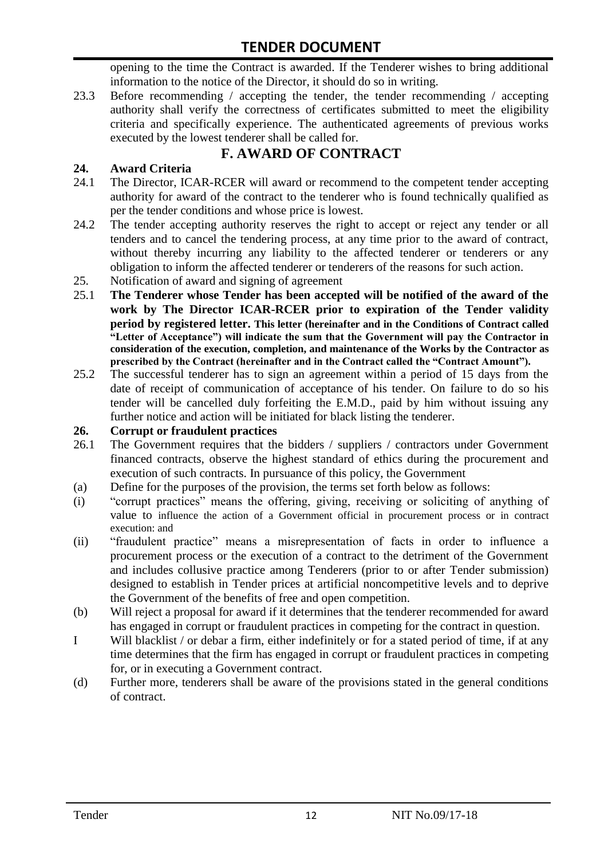opening to the time the Contract is awarded. If the Tenderer wishes to bring additional information to the notice of the Director, it should do so in writing.

23.3 Before recommending / accepting the tender, the tender recommending / accepting authority shall verify the correctness of certificates submitted to meet the eligibility criteria and specifically experience. The authenticated agreements of previous works executed by the lowest tenderer shall be called for.

# **F. AWARD OF CONTRACT**

#### **24. Award Criteria**

- 24.1 The Director, ICAR-RCER will award or recommend to the competent tender accepting authority for award of the contract to the tenderer who is found technically qualified as per the tender conditions and whose price is lowest.
- 24.2 The tender accepting authority reserves the right to accept or reject any tender or all tenders and to cancel the tendering process, at any time prior to the award of contract, without thereby incurring any liability to the affected tenderer or tenderers or any obligation to inform the affected tenderer or tenderers of the reasons for such action.
- 25. Notification of award and signing of agreement
- 25.1 **The Tenderer whose Tender has been accepted will be notified of the award of the work by The Director ICAR-RCER prior to expiration of the Tender validity period by registered letter. This letter (hereinafter and in the Conditions of Contract called "Letter of Acceptance") will indicate the sum that the Government will pay the Contractor in consideration of the execution, completion, and maintenance of the Works by the Contractor as prescribed by the Contract (hereinafter and in the Contract called the "Contract Amount").**
- 25.2 The successful tenderer has to sign an agreement within a period of 15 days from the date of receipt of communication of acceptance of his tender. On failure to do so his tender will be cancelled duly forfeiting the E.M.D., paid by him without issuing any further notice and action will be initiated for black listing the tenderer.

#### **26. Corrupt or fraudulent practices**

- 26.1 The Government requires that the bidders / suppliers / contractors under Government financed contracts, observe the highest standard of ethics during the procurement and execution of such contracts. In pursuance of this policy, the Government
- (a) Define for the purposes of the provision, the terms set forth below as follows:
- (i) "corrupt practices" means the offering, giving, receiving or soliciting of anything of value to influence the action of a Government official in procurement process or in contract execution: and
- (ii) "fraudulent practice" means a misrepresentation of facts in order to influence a procurement process or the execution of a contract to the detriment of the Government and includes collusive practice among Tenderers (prior to or after Tender submission) designed to establish in Tender prices at artificial noncompetitive levels and to deprive the Government of the benefits of free and open competition.
- (b) Will reject a proposal for award if it determines that the tenderer recommended for award has engaged in corrupt or fraudulent practices in competing for the contract in question.
- I Will blacklist / or debar a firm, either indefinitely or for a stated period of time, if at any time determines that the firm has engaged in corrupt or fraudulent practices in competing for, or in executing a Government contract.
- (d) Further more, tenderers shall be aware of the provisions stated in the general conditions of contract.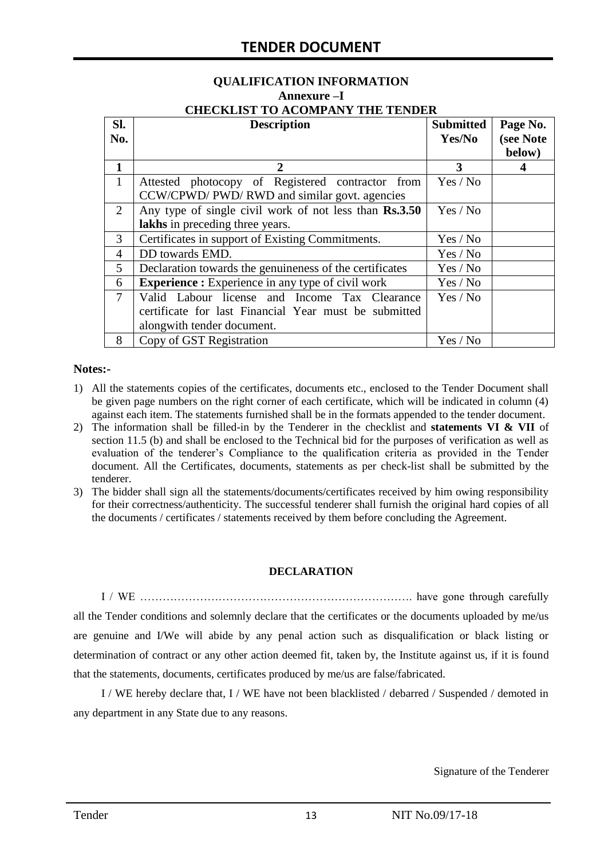#### **QUALIFICATION INFORMATION Annexure –I CHECKLIST TO ACOMPANY THE TENDER**

| Sl.            | <b>Description</b>                                       | <b>Submitted</b> | Page No.  |
|----------------|----------------------------------------------------------|------------------|-----------|
| No.            |                                                          | Yes/No           | (see Note |
|                |                                                          |                  | below)    |
| 1              | 2                                                        | 3                |           |
| $\mathbf{1}$   | Attested photocopy of Registered contractor from         | Yes / No         |           |
|                | CCW/CPWD/ PWD/ RWD and similar govt. agencies            |                  |           |
| 2              | Any type of single civil work of not less than Rs.3.50   | Yes / No         |           |
|                | lakhs in preceding three years.                          |                  |           |
| 3              | Certificates in support of Existing Commitments.         | Yes / No         |           |
| 4              | DD towards EMD.                                          | Yes / No         |           |
| 5              | Declaration towards the genuineness of the certificates  | Yes / No         |           |
| 6              | <b>Experience :</b> Experience in any type of civil work | Yes / No         |           |
| $\overline{7}$ | Valid Labour license and Income Tax Clearance            | Yes / No         |           |
|                | certificate for last Financial Year must be submitted    |                  |           |
|                | alongwith tender document.                               |                  |           |
| 8              | Copy of GST Registration                                 | Yes / No         |           |

#### **Notes:-**

- 1) All the statements copies of the certificates, documents etc., enclosed to the Tender Document shall be given page numbers on the right corner of each certificate, which will be indicated in column (4) against each item. The statements furnished shall be in the formats appended to the tender document.
- 2) The information shall be filled-in by the Tenderer in the checklist and **statements VI & VII** of section 11.5 (b) and shall be enclosed to the Technical bid for the purposes of verification as well as evaluation of the tenderer's Compliance to the qualification criteria as provided in the Tender document. All the Certificates, documents, statements as per check-list shall be submitted by the tenderer.
- 3) The bidder shall sign all the statements/documents/certificates received by him owing responsibility for their correctness/authenticity. The successful tenderer shall furnish the original hard copies of all the documents / certificates / statements received by them before concluding the Agreement.

#### **DECLARATION**

I / WE ………………………………………………………………. have gone through carefully all the Tender conditions and solemnly declare that the certificates or the documents uploaded by me/us are genuine and I/We will abide by any penal action such as disqualification or black listing or determination of contract or any other action deemed fit, taken by, the Institute against us, if it is found that the statements, documents, certificates produced by me/us are false/fabricated.

I / WE hereby declare that, I / WE have not been blacklisted / debarred / Suspended / demoted in any department in any State due to any reasons.

Signature of the Tenderer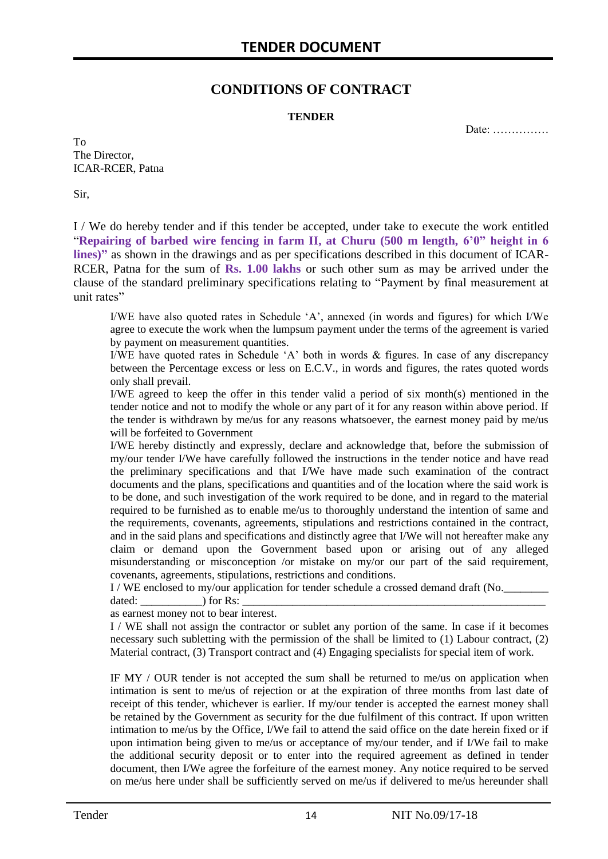### **CONDITIONS OF CONTRACT**

#### **TENDER**

Date: ……………

To The Director, ICAR-RCER, Patna

Sir,

I / We do hereby tender and if this tender be accepted, under take to execute the work entitled "**Repairing of barbed wire fencing in farm II, at Churu (500 m length, 6'0" height in 6 lines)"** as shown in the drawings and as per specifications described in this document of ICAR-RCER, Patna for the sum of **Rs. 1.00 lakhs** or such other sum as may be arrived under the clause of the standard preliminary specifications relating to "Payment by final measurement at unit rates"

I/WE have also quoted rates in Schedule 'A', annexed (in words and figures) for which I/We agree to execute the work when the lumpsum payment under the terms of the agreement is varied by payment on measurement quantities.

I/WE have quoted rates in Schedule 'A' both in words & figures. In case of any discrepancy between the Percentage excess or less on E.C.V., in words and figures, the rates quoted words only shall prevail.

I/WE agreed to keep the offer in this tender valid a period of six month(s) mentioned in the tender notice and not to modify the whole or any part of it for any reason within above period. If the tender is withdrawn by me/us for any reasons whatsoever, the earnest money paid by me/us will be forfeited to Government

I/WE hereby distinctly and expressly, declare and acknowledge that, before the submission of my/our tender I/We have carefully followed the instructions in the tender notice and have read the preliminary specifications and that I/We have made such examination of the contract documents and the plans, specifications and quantities and of the location where the said work is to be done, and such investigation of the work required to be done, and in regard to the material required to be furnished as to enable me/us to thoroughly understand the intention of same and the requirements, covenants, agreements, stipulations and restrictions contained in the contract, and in the said plans and specifications and distinctly agree that I/We will not hereafter make any claim or demand upon the Government based upon or arising out of any alleged misunderstanding or misconception /or mistake on my/or our part of the said requirement, covenants, agreements, stipulations, restrictions and conditions.

I / WE enclosed to my/our application for tender schedule a crossed demand draft (No.

dated:  $\qquad \qquad$  ) for Rs: as earnest money not to bear interest.

I / WE shall not assign the contractor or sublet any portion of the same. In case if it becomes necessary such subletting with the permission of the shall be limited to (1) Labour contract, (2) Material contract, (3) Transport contract and (4) Engaging specialists for special item of work.

IF MY / OUR tender is not accepted the sum shall be returned to me/us on application when intimation is sent to me/us of rejection or at the expiration of three months from last date of receipt of this tender, whichever is earlier. If my/our tender is accepted the earnest money shall be retained by the Government as security for the due fulfilment of this contract. If upon written intimation to me/us by the Office, I/We fail to attend the said office on the date herein fixed or if upon intimation being given to me/us or acceptance of my/our tender, and if I/We fail to make the additional security deposit or to enter into the required agreement as defined in tender document, then I/We agree the forfeiture of the earnest money. Any notice required to be served on me/us here under shall be sufficiently served on me/us if delivered to me/us hereunder shall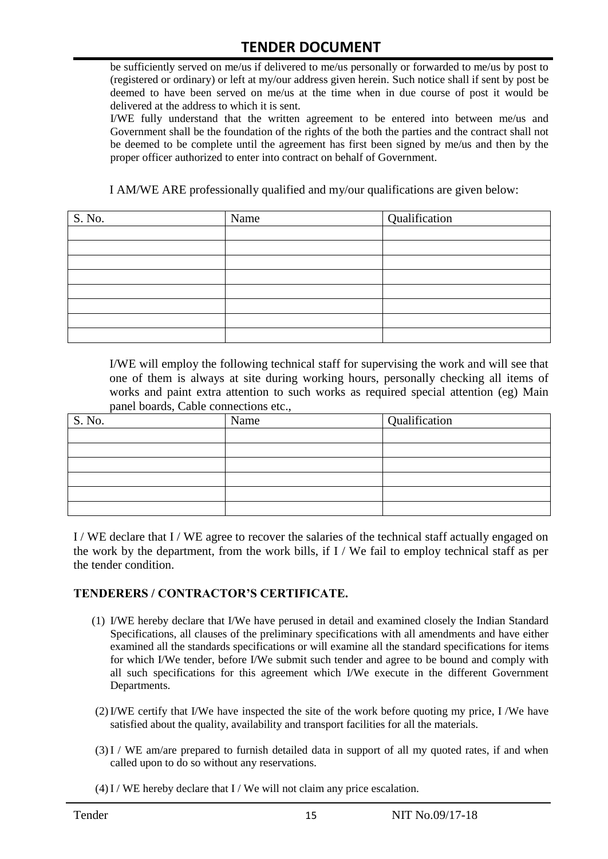be sufficiently served on me/us if delivered to me/us personally or forwarded to me/us by post to (registered or ordinary) or left at my/our address given herein. Such notice shall if sent by post be deemed to have been served on me/us at the time when in due course of post it would be delivered at the address to which it is sent.

I/WE fully understand that the written agreement to be entered into between me/us and Government shall be the foundation of the rights of the both the parties and the contract shall not be deemed to be complete until the agreement has first been signed by me/us and then by the proper officer authorized to enter into contract on behalf of Government.

I AM/WE ARE professionally qualified and my/our qualifications are given below:

| S. No. | Name | Qualification |
|--------|------|---------------|
|        |      |               |
|        |      |               |
|        |      |               |
|        |      |               |
|        |      |               |
|        |      |               |
|        |      |               |
|        |      |               |

I/WE will employ the following technical staff for supervising the work and will see that one of them is always at site during working hours, personally checking all items of works and paint extra attention to such works as required special attention (eg) Main panel boards, Cable connections etc.,

| S. No. | Name | $\sqrt{Q}$ ualification |
|--------|------|-------------------------|
|        |      |                         |
|        |      |                         |
|        |      |                         |
|        |      |                         |
|        |      |                         |
|        |      |                         |

I / WE declare that I / WE agree to recover the salaries of the technical staff actually engaged on the work by the department, from the work bills, if I / We fail to employ technical staff as per the tender condition.

#### **TENDERERS / CONTRACTOR'S CERTIFICATE.**

- (1) I/WE hereby declare that I/We have perused in detail and examined closely the Indian Standard Specifications, all clauses of the preliminary specifications with all amendments and have either examined all the standards specifications or will examine all the standard specifications for items for which I/We tender, before I/We submit such tender and agree to be bound and comply with all such specifications for this agreement which I/We execute in the different Government Departments.
- (2)I/WE certify that I/We have inspected the site of the work before quoting my price, I /We have satisfied about the quality, availability and transport facilities for all the materials.
- (3)I / WE am/are prepared to furnish detailed data in support of all my quoted rates, if and when called upon to do so without any reservations.
- $(4)$  I / WE hereby declare that I / We will not claim any price escalation.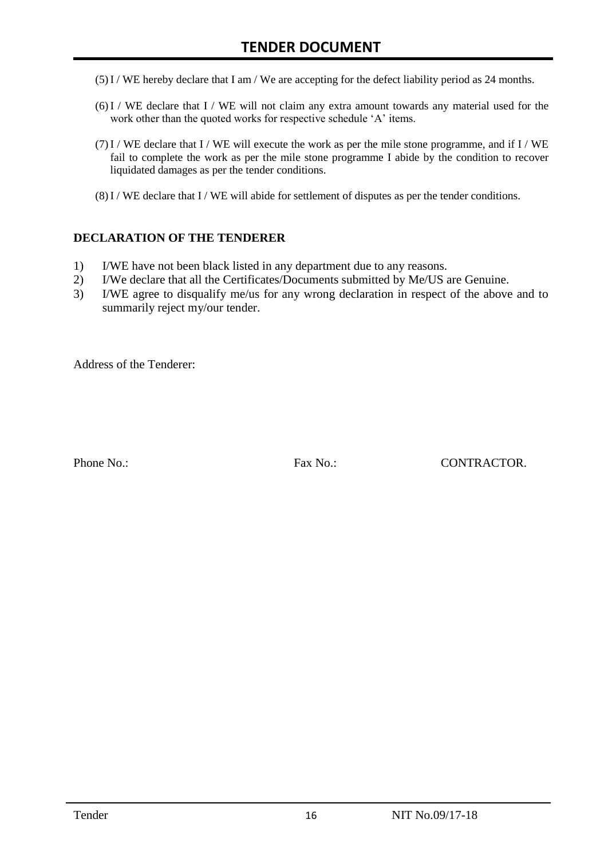- (5)I / WE hereby declare that I am / We are accepting for the defect liability period as 24 months.
- (6)I / WE declare that I / WE will not claim any extra amount towards any material used for the work other than the quoted works for respective schedule 'A' items.
- $(7)$  I / WE declare that I / WE will execute the work as per the mile stone programme, and if I / WE fail to complete the work as per the mile stone programme I abide by the condition to recover liquidated damages as per the tender conditions.
- (8)I / WE declare that I / WE will abide for settlement of disputes as per the tender conditions.

#### **DECLARATION OF THE TENDERER**

- 1) I/WE have not been black listed in any department due to any reasons.
- 2) I/We declare that all the Certificates/Documents submitted by Me/US are Genuine.
- 3) I/WE agree to disqualify me/us for any wrong declaration in respect of the above and to summarily reject my/our tender.

Address of the Tenderer:

Phone No.: Fax No.: CONTRACTOR.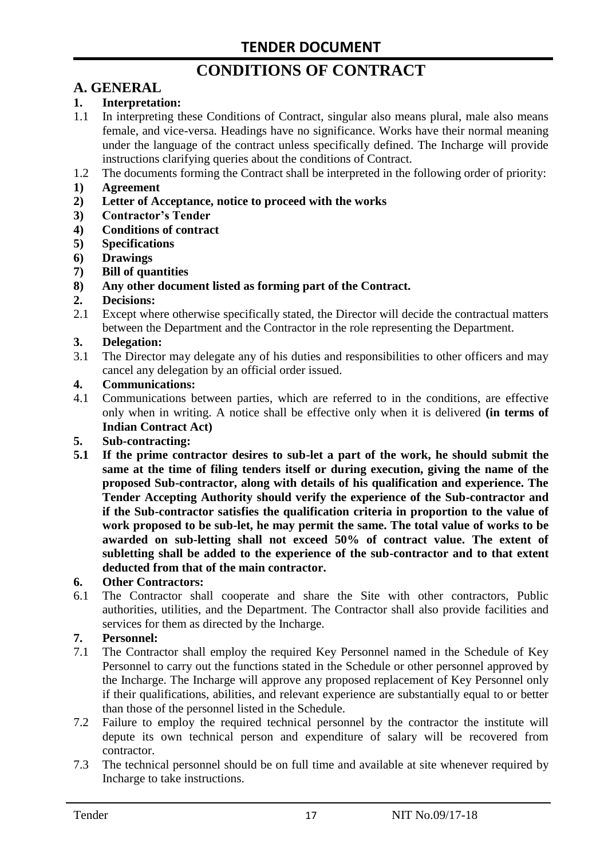# **CONDITIONS OF CONTRACT**

# **A. GENERAL**

#### **1. Interpretation:**

- 1.1 In interpreting these Conditions of Contract, singular also means plural, male also means female, and vice-versa. Headings have no significance. Works have their normal meaning under the language of the contract unless specifically defined. The Incharge will provide instructions clarifying queries about the conditions of Contract.
- 1.2 The documents forming the Contract shall be interpreted in the following order of priority:
- **1) Agreement**
- **2) Letter of Acceptance, notice to proceed with the works**
- **3) Contractor's Tender**
- **4) Conditions of contract**
- **5) Specifications**
- **6) Drawings**
- **7) Bill of quantities**
- **8) Any other document listed as forming part of the Contract.**

#### **2. Decisions:**

2.1 Except where otherwise specifically stated, the Director will decide the contractual matters between the Department and the Contractor in the role representing the Department.

#### **3. Delegation:**

3.1 The Director may delegate any of his duties and responsibilities to other officers and may cancel any delegation by an official order issued.

#### **4. Communications:**

4.1 Communications between parties, which are referred to in the conditions, are effective only when in writing. A notice shall be effective only when it is delivered **(in terms of Indian Contract Act)**

#### **5. Sub-contracting:**

**5.1 If the prime contractor desires to sub-let a part of the work, he should submit the same at the time of filing tenders itself or during execution, giving the name of the proposed Sub-contractor, along with details of his qualification and experience. The Tender Accepting Authority should verify the experience of the Sub-contractor and if the Sub-contractor satisfies the qualification criteria in proportion to the value of work proposed to be sub-let, he may permit the same. The total value of works to be awarded on sub-letting shall not exceed 50% of contract value. The extent of subletting shall be added to the experience of the sub-contractor and to that extent deducted from that of the main contractor.**

#### **6. Other Contractors:**

6.1 The Contractor shall cooperate and share the Site with other contractors, Public authorities, utilities, and the Department. The Contractor shall also provide facilities and services for them as directed by the Incharge.

#### **7. Personnel:**

- 7.1 The Contractor shall employ the required Key Personnel named in the Schedule of Key Personnel to carry out the functions stated in the Schedule or other personnel approved by the Incharge. The Incharge will approve any proposed replacement of Key Personnel only if their qualifications, abilities, and relevant experience are substantially equal to or better than those of the personnel listed in the Schedule.
- 7.2 Failure to employ the required technical personnel by the contractor the institute will depute its own technical person and expenditure of salary will be recovered from contractor.
- 7.3 The technical personnel should be on full time and available at site whenever required by Incharge to take instructions.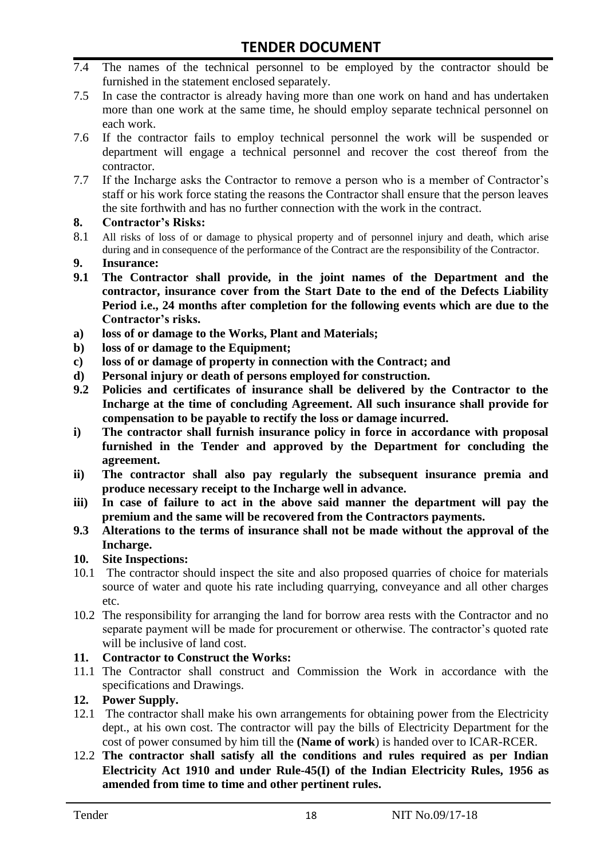- 7.4 The names of the technical personnel to be employed by the contractor should be furnished in the statement enclosed separately.
- 7.5 In case the contractor is already having more than one work on hand and has undertaken more than one work at the same time, he should employ separate technical personnel on each work.
- 7.6 If the contractor fails to employ technical personnel the work will be suspended or department will engage a technical personnel and recover the cost thereof from the contractor.
- 7.7 If the Incharge asks the Contractor to remove a person who is a member of Contractor's staff or his work force stating the reasons the Contractor shall ensure that the person leaves the site forthwith and has no further connection with the work in the contract.

#### **8. Contractor's Risks:**

- 8.1 All risks of loss of or damage to physical property and of personnel injury and death, which arise during and in consequence of the performance of the Contract are the responsibility of the Contractor.
- **9. Insurance:**
- **9.1 The Contractor shall provide, in the joint names of the Department and the contractor, insurance cover from the Start Date to the end of the Defects Liability Period i.e., 24 months after completion for the following events which are due to the Contractor's risks.**
- **a) loss of or damage to the Works, Plant and Materials;**
- **b) loss of or damage to the Equipment;**
- **c) loss of or damage of property in connection with the Contract; and**
- **d) Personal injury or death of persons employed for construction.**
- **9.2 Policies and certificates of insurance shall be delivered by the Contractor to the Incharge at the time of concluding Agreement. All such insurance shall provide for compensation to be payable to rectify the loss or damage incurred.**
- **i) The contractor shall furnish insurance policy in force in accordance with proposal furnished in the Tender and approved by the Department for concluding the agreement.**
- **ii) The contractor shall also pay regularly the subsequent insurance premia and produce necessary receipt to the Incharge well in advance.**
- **iii) In case of failure to act in the above said manner the department will pay the premium and the same will be recovered from the Contractors payments.**
- **9.3 Alterations to the terms of insurance shall not be made without the approval of the Incharge.**

#### **10. Site Inspections:**

- 10.1 The contractor should inspect the site and also proposed quarries of choice for materials source of water and quote his rate including quarrying, conveyance and all other charges etc.
- 10.2 The responsibility for arranging the land for borrow area rests with the Contractor and no separate payment will be made for procurement or otherwise. The contractor's quoted rate will be inclusive of land cost.

#### **11. Contractor to Construct the Works:**

11.1 The Contractor shall construct and Commission the Work in accordance with the specifications and Drawings.

#### **12. Power Supply.**

- 12.1 The contractor shall make his own arrangements for obtaining power from the Electricity dept., at his own cost. The contractor will pay the bills of Electricity Department for the cost of power consumed by him till the **(Name of work**) is handed over to ICAR-RCER.
- 12.2 **The contractor shall satisfy all the conditions and rules required as per Indian Electricity Act 1910 and under Rule-45(I) of the Indian Electricity Rules, 1956 as amended from time to time and other pertinent rules.**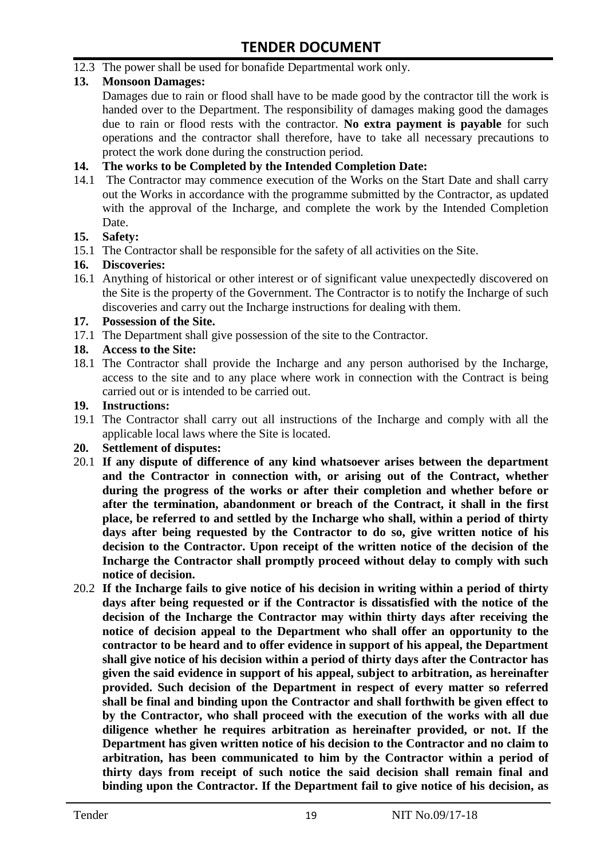12.3 The power shall be used for bonafide Departmental work only.

#### **13. Monsoon Damages:**

Damages due to rain or flood shall have to be made good by the contractor till the work is handed over to the Department. The responsibility of damages making good the damages due to rain or flood rests with the contractor. **No extra payment is payable** for such operations and the contractor shall therefore, have to take all necessary precautions to protect the work done during the construction period.

#### **14. The works to be Completed by the Intended Completion Date:**

14.1 The Contractor may commence execution of the Works on the Start Date and shall carry out the Works in accordance with the programme submitted by the Contractor, as updated with the approval of the Incharge, and complete the work by the Intended Completion Date.

#### **15. Safety:**

15.1 The Contractor shall be responsible for the safety of all activities on the Site.

#### **16. Discoveries:**

16.1 Anything of historical or other interest or of significant value unexpectedly discovered on the Site is the property of the Government. The Contractor is to notify the Incharge of such discoveries and carry out the Incharge instructions for dealing with them.

#### **17. Possession of the Site.**

17.1 The Department shall give possession of the site to the Contractor.

#### **18. Access to the Site:**

18.1 The Contractor shall provide the Incharge and any person authorised by the Incharge, access to the site and to any place where work in connection with the Contract is being carried out or is intended to be carried out.

#### **19. Instructions:**

- 19.1 The Contractor shall carry out all instructions of the Incharge and comply with all the applicable local laws where the Site is located.
- **20. Settlement of disputes:**
- 20.1 **If any dispute of difference of any kind whatsoever arises between the department and the Contractor in connection with, or arising out of the Contract, whether during the progress of the works or after their completion and whether before or after the termination, abandonment or breach of the Contract, it shall in the first place, be referred to and settled by the Incharge who shall, within a period of thirty days after being requested by the Contractor to do so, give written notice of his decision to the Contractor. Upon receipt of the written notice of the decision of the Incharge the Contractor shall promptly proceed without delay to comply with such notice of decision.**
- 20.2 **If the Incharge fails to give notice of his decision in writing within a period of thirty days after being requested or if the Contractor is dissatisfied with the notice of the decision of the Incharge the Contractor may within thirty days after receiving the notice of decision appeal to the Department who shall offer an opportunity to the contractor to be heard and to offer evidence in support of his appeal, the Department shall give notice of his decision within a period of thirty days after the Contractor has given the said evidence in support of his appeal, subject to arbitration, as hereinafter provided. Such decision of the Department in respect of every matter so referred shall be final and binding upon the Contractor and shall forthwith be given effect to by the Contractor, who shall proceed with the execution of the works with all due diligence whether he requires arbitration as hereinafter provided, or not. If the Department has given written notice of his decision to the Contractor and no claim to arbitration, has been communicated to him by the Contractor within a period of thirty days from receipt of such notice the said decision shall remain final and binding upon the Contractor. If the Department fail to give notice of his decision, as**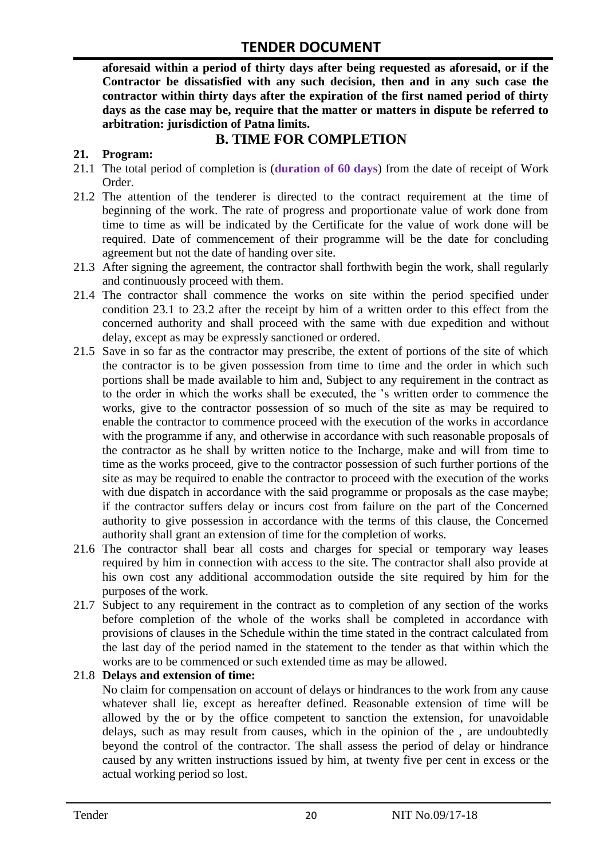**aforesaid within a period of thirty days after being requested as aforesaid, or if the Contractor be dissatisfied with any such decision, then and in any such case the contractor within thirty days after the expiration of the first named period of thirty days as the case may be, require that the matter or matters in dispute be referred to arbitration: jurisdiction of Patna limits.**

# **B. TIME FOR COMPLETION**

#### **21. Program:**

- 21.1 The total period of completion is (**duration of 60 days**) from the date of receipt of Work Order.
- 21.2 The attention of the tenderer is directed to the contract requirement at the time of beginning of the work. The rate of progress and proportionate value of work done from time to time as will be indicated by the Certificate for the value of work done will be required. Date of commencement of their programme will be the date for concluding agreement but not the date of handing over site.
- 21.3 After signing the agreement, the contractor shall forthwith begin the work, shall regularly and continuously proceed with them.
- 21.4 The contractor shall commence the works on site within the period specified under condition 23.1 to 23.2 after the receipt by him of a written order to this effect from the concerned authority and shall proceed with the same with due expedition and without delay, except as may be expressly sanctioned or ordered.
- 21.5 Save in so far as the contractor may prescribe, the extent of portions of the site of which the contractor is to be given possession from time to time and the order in which such portions shall be made available to him and, Subject to any requirement in the contract as to the order in which the works shall be executed, the 's written order to commence the works, give to the contractor possession of so much of the site as may be required to enable the contractor to commence proceed with the execution of the works in accordance with the programme if any, and otherwise in accordance with such reasonable proposals of the contractor as he shall by written notice to the Incharge, make and will from time to time as the works proceed, give to the contractor possession of such further portions of the site as may be required to enable the contractor to proceed with the execution of the works with due dispatch in accordance with the said programme or proposals as the case maybe; if the contractor suffers delay or incurs cost from failure on the part of the Concerned authority to give possession in accordance with the terms of this clause, the Concerned authority shall grant an extension of time for the completion of works.
- 21.6 The contractor shall bear all costs and charges for special or temporary way leases required by him in connection with access to the site. The contractor shall also provide at his own cost any additional accommodation outside the site required by him for the purposes of the work.
- 21.7 Subject to any requirement in the contract as to completion of any section of the works before completion of the whole of the works shall be completed in accordance with provisions of clauses in the Schedule within the time stated in the contract calculated from the last day of the period named in the statement to the tender as that within which the works are to be commenced or such extended time as may be allowed.

#### 21.8 **Delays and extension of time:**

No claim for compensation on account of delays or hindrances to the work from any cause whatever shall lie, except as hereafter defined. Reasonable extension of time will be allowed by the or by the office competent to sanction the extension, for unavoidable delays, such as may result from causes, which in the opinion of the , are undoubtedly beyond the control of the contractor. The shall assess the period of delay or hindrance caused by any written instructions issued by him, at twenty five per cent in excess or the actual working period so lost.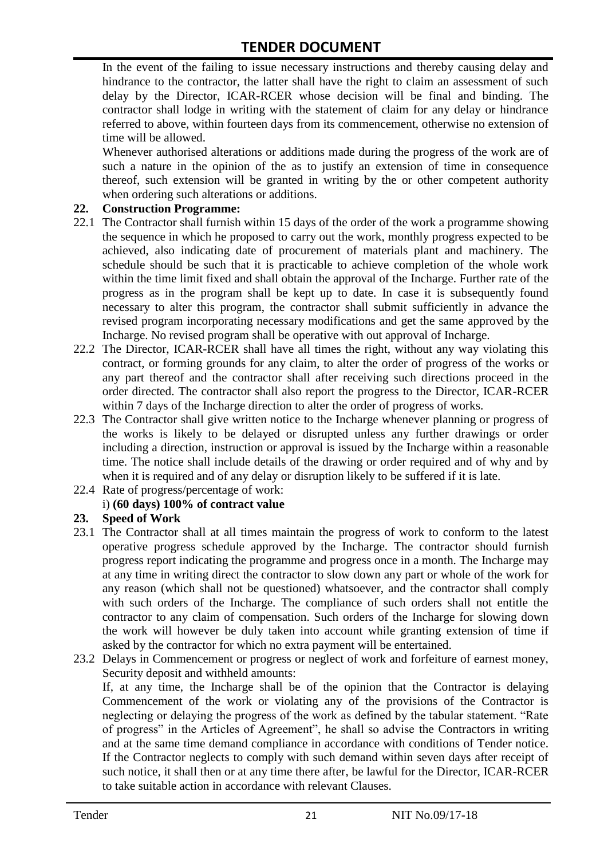In the event of the failing to issue necessary instructions and thereby causing delay and hindrance to the contractor, the latter shall have the right to claim an assessment of such delay by the Director, ICAR-RCER whose decision will be final and binding. The contractor shall lodge in writing with the statement of claim for any delay or hindrance referred to above, within fourteen days from its commencement, otherwise no extension of time will be allowed.

Whenever authorised alterations or additions made during the progress of the work are of such a nature in the opinion of the as to justify an extension of time in consequence thereof, such extension will be granted in writing by the or other competent authority when ordering such alterations or additions.

#### **22. Construction Programme:**

- 22.1 The Contractor shall furnish within 15 days of the order of the work a programme showing the sequence in which he proposed to carry out the work, monthly progress expected to be achieved, also indicating date of procurement of materials plant and machinery. The schedule should be such that it is practicable to achieve completion of the whole work within the time limit fixed and shall obtain the approval of the Incharge. Further rate of the progress as in the program shall be kept up to date. In case it is subsequently found necessary to alter this program, the contractor shall submit sufficiently in advance the revised program incorporating necessary modifications and get the same approved by the Incharge. No revised program shall be operative with out approval of Incharge.
- 22.2 The Director, ICAR-RCER shall have all times the right, without any way violating this contract, or forming grounds for any claim, to alter the order of progress of the works or any part thereof and the contractor shall after receiving such directions proceed in the order directed. The contractor shall also report the progress to the Director, ICAR-RCER within 7 days of the Incharge direction to alter the order of progress of works.
- 22.3 The Contractor shall give written notice to the Incharge whenever planning or progress of the works is likely to be delayed or disrupted unless any further drawings or order including a direction, instruction or approval is issued by the Incharge within a reasonable time. The notice shall include details of the drawing or order required and of why and by when it is required and of any delay or disruption likely to be suffered if it is late.
- 22.4 Rate of progress/percentage of work:

#### i) **(60 days) 100% of contract value**

#### **23. Speed of Work**

- 23.1 The Contractor shall at all times maintain the progress of work to conform to the latest operative progress schedule approved by the Incharge. The contractor should furnish progress report indicating the programme and progress once in a month. The Incharge may at any time in writing direct the contractor to slow down any part or whole of the work for any reason (which shall not be questioned) whatsoever, and the contractor shall comply with such orders of the Incharge. The compliance of such orders shall not entitle the contractor to any claim of compensation. Such orders of the Incharge for slowing down the work will however be duly taken into account while granting extension of time if asked by the contractor for which no extra payment will be entertained.
- 23.2 Delays in Commencement or progress or neglect of work and forfeiture of earnest money, Security deposit and withheld amounts:

If, at any time, the Incharge shall be of the opinion that the Contractor is delaying Commencement of the work or violating any of the provisions of the Contractor is neglecting or delaying the progress of the work as defined by the tabular statement. "Rate of progress" in the Articles of Agreement", he shall so advise the Contractors in writing and at the same time demand compliance in accordance with conditions of Tender notice. If the Contractor neglects to comply with such demand within seven days after receipt of such notice, it shall then or at any time there after, be lawful for the Director, ICAR-RCER to take suitable action in accordance with relevant Clauses.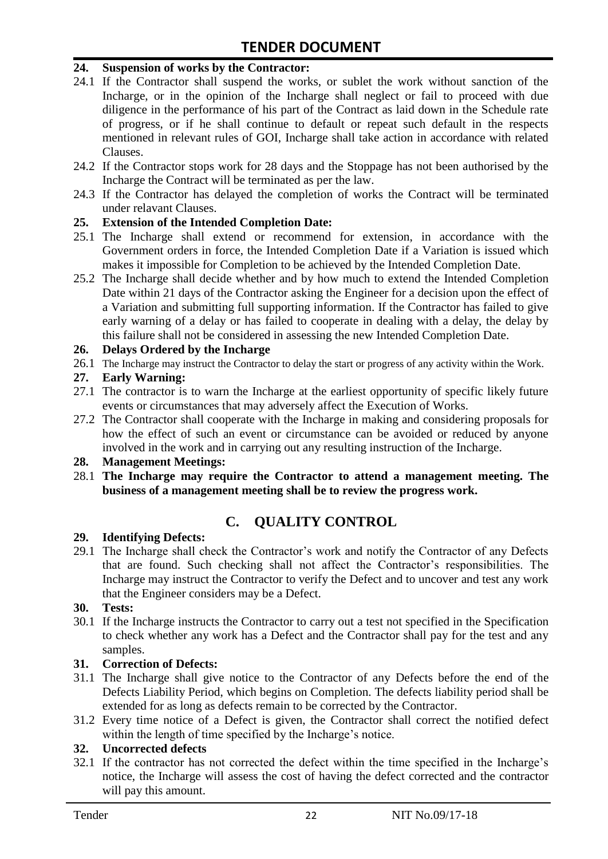#### **24. Suspension of works by the Contractor:**

- 24.1 If the Contractor shall suspend the works, or sublet the work without sanction of the Incharge, or in the opinion of the Incharge shall neglect or fail to proceed with due diligence in the performance of his part of the Contract as laid down in the Schedule rate of progress, or if he shall continue to default or repeat such default in the respects mentioned in relevant rules of GOI, Incharge shall take action in accordance with related Clauses.
- 24.2 If the Contractor stops work for 28 days and the Stoppage has not been authorised by the Incharge the Contract will be terminated as per the law.
- 24.3 If the Contractor has delayed the completion of works the Contract will be terminated under relavant Clauses.

#### **25. Extension of the Intended Completion Date:**

- 25.1 The Incharge shall extend or recommend for extension, in accordance with the Government orders in force, the Intended Completion Date if a Variation is issued which makes it impossible for Completion to be achieved by the Intended Completion Date.
- 25.2 The Incharge shall decide whether and by how much to extend the Intended Completion Date within 21 days of the Contractor asking the Engineer for a decision upon the effect of a Variation and submitting full supporting information. If the Contractor has failed to give early warning of a delay or has failed to cooperate in dealing with a delay, the delay by this failure shall not be considered in assessing the new Intended Completion Date.

#### **26. Delays Ordered by the Incharge**

26.1 The Incharge may instruct the Contractor to delay the start or progress of any activity within the Work.

#### **27. Early Warning:**

- 27.1 The contractor is to warn the Incharge at the earliest opportunity of specific likely future events or circumstances that may adversely affect the Execution of Works.
- 27.2 The Contractor shall cooperate with the Incharge in making and considering proposals for how the effect of such an event or circumstance can be avoided or reduced by anyone involved in the work and in carrying out any resulting instruction of the Incharge.

#### **28. Management Meetings:**

28.1 **The Incharge may require the Contractor to attend a management meeting. The business of a management meeting shall be to review the progress work.**

# **C. QUALITY CONTROL**

#### **29. Identifying Defects:**

29.1 The Incharge shall check the Contractor's work and notify the Contractor of any Defects that are found. Such checking shall not affect the Contractor's responsibilities. The Incharge may instruct the Contractor to verify the Defect and to uncover and test any work that the Engineer considers may be a Defect.

#### **30. Tests:**

30.1 If the Incharge instructs the Contractor to carry out a test not specified in the Specification to check whether any work has a Defect and the Contractor shall pay for the test and any samples.

#### **31. Correction of Defects:**

- 31.1 The Incharge shall give notice to the Contractor of any Defects before the end of the Defects Liability Period, which begins on Completion. The defects liability period shall be extended for as long as defects remain to be corrected by the Contractor.
- 31.2 Every time notice of a Defect is given, the Contractor shall correct the notified defect within the length of time specified by the Incharge's notice.

#### **32. Uncorrected defects**

32.1 If the contractor has not corrected the defect within the time specified in the Incharge's notice, the Incharge will assess the cost of having the defect corrected and the contractor will pay this amount.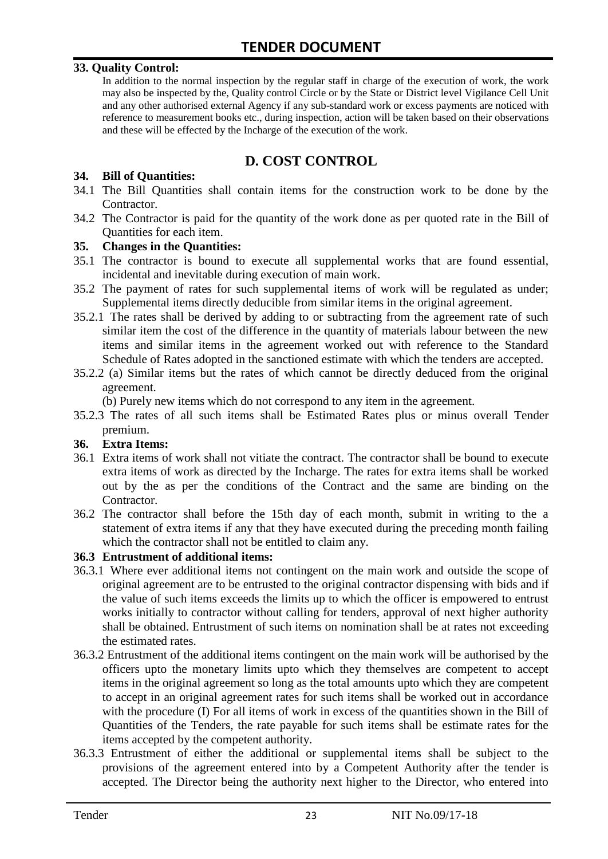#### **33. Quality Control:**

In addition to the normal inspection by the regular staff in charge of the execution of work, the work may also be inspected by the, Quality control Circle or by the State or District level Vigilance Cell Unit and any other authorised external Agency if any sub-standard work or excess payments are noticed with reference to measurement books etc., during inspection, action will be taken based on their observations and these will be effected by the Incharge of the execution of the work.

# **D. COST CONTROL**

#### **34. Bill of Quantities:**

- 34.1 The Bill Quantities shall contain items for the construction work to be done by the Contractor.
- 34.2 The Contractor is paid for the quantity of the work done as per quoted rate in the Bill of Quantities for each item.

#### **35. Changes in the Quantities:**

- 35.1 The contractor is bound to execute all supplemental works that are found essential, incidental and inevitable during execution of main work.
- 35.2 The payment of rates for such supplemental items of work will be regulated as under; Supplemental items directly deducible from similar items in the original agreement.
- 35.2.1 The rates shall be derived by adding to or subtracting from the agreement rate of such similar item the cost of the difference in the quantity of materials labour between the new items and similar items in the agreement worked out with reference to the Standard Schedule of Rates adopted in the sanctioned estimate with which the tenders are accepted.
- 35.2.2 (a) Similar items but the rates of which cannot be directly deduced from the original agreement.

(b) Purely new items which do not correspond to any item in the agreement.

35.2.3 The rates of all such items shall be Estimated Rates plus or minus overall Tender premium.

#### **36. Extra Items:**

- 36.1 Extra items of work shall not vitiate the contract. The contractor shall be bound to execute extra items of work as directed by the Incharge. The rates for extra items shall be worked out by the as per the conditions of the Contract and the same are binding on the Contractor.
- 36.2 The contractor shall before the 15th day of each month, submit in writing to the a statement of extra items if any that they have executed during the preceding month failing which the contractor shall not be entitled to claim any.

#### **36.3 Entrustment of additional items:**

- 36.3.1 Where ever additional items not contingent on the main work and outside the scope of original agreement are to be entrusted to the original contractor dispensing with bids and if the value of such items exceeds the limits up to which the officer is empowered to entrust works initially to contractor without calling for tenders, approval of next higher authority shall be obtained. Entrustment of such items on nomination shall be at rates not exceeding the estimated rates.
- 36.3.2 Entrustment of the additional items contingent on the main work will be authorised by the officers upto the monetary limits upto which they themselves are competent to accept items in the original agreement so long as the total amounts upto which they are competent to accept in an original agreement rates for such items shall be worked out in accordance with the procedure (I) For all items of work in excess of the quantities shown in the Bill of Quantities of the Tenders, the rate payable for such items shall be estimate rates for the items accepted by the competent authority.
- 36.3.3 Entrustment of either the additional or supplemental items shall be subject to the provisions of the agreement entered into by a Competent Authority after the tender is accepted. The Director being the authority next higher to the Director, who entered into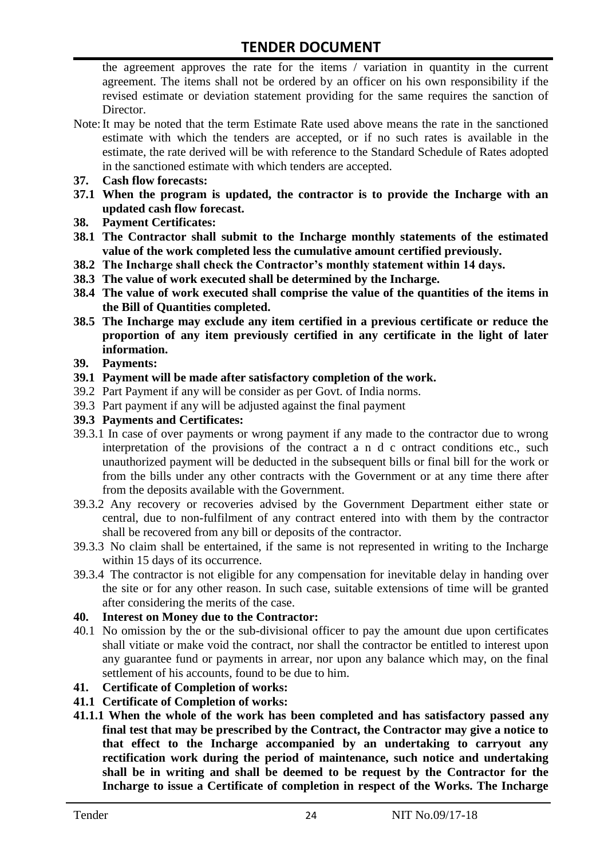the agreement approves the rate for the items / variation in quantity in the current agreement. The items shall not be ordered by an officer on his own responsibility if the revised estimate or deviation statement providing for the same requires the sanction of Director.

- Note:It may be noted that the term Estimate Rate used above means the rate in the sanctioned estimate with which the tenders are accepted, or if no such rates is available in the estimate, the rate derived will be with reference to the Standard Schedule of Rates adopted in the sanctioned estimate with which tenders are accepted.
- **37. Cash flow forecasts:**
- **37.1 When the program is updated, the contractor is to provide the Incharge with an updated cash flow forecast.**
- **38. Payment Certificates:**
- **38.1 The Contractor shall submit to the Incharge monthly statements of the estimated value of the work completed less the cumulative amount certified previously.**
- **38.2 The Incharge shall check the Contractor's monthly statement within 14 days.**
- **38.3 The value of work executed shall be determined by the Incharge.**
- **38.4 The value of work executed shall comprise the value of the quantities of the items in the Bill of Quantities completed.**
- **38.5 The Incharge may exclude any item certified in a previous certificate or reduce the proportion of any item previously certified in any certificate in the light of later information.**
- **39. Payments:**
- **39.1 Payment will be made after satisfactory completion of the work.**
- 39.2 Part Payment if any will be consider as per Govt. of India norms.
- 39.3 Part payment if any will be adjusted against the final payment
- **39.3 Payments and Certificates:**
- 39.3.1 In case of over payments or wrong payment if any made to the contractor due to wrong interpretation of the provisions of the contract a n d c ontract conditions etc., such unauthorized payment will be deducted in the subsequent bills or final bill for the work or from the bills under any other contracts with the Government or at any time there after from the deposits available with the Government.
- 39.3.2 Any recovery or recoveries advised by the Government Department either state or central, due to non-fulfilment of any contract entered into with them by the contractor shall be recovered from any bill or deposits of the contractor.
- 39.3.3 No claim shall be entertained, if the same is not represented in writing to the Incharge within 15 days of its occurrence.
- 39.3.4 The contractor is not eligible for any compensation for inevitable delay in handing over the site or for any other reason. In such case, suitable extensions of time will be granted after considering the merits of the case.

#### **40. Interest on Money due to the Contractor:**

- 40.1 No omission by the or the sub-divisional officer to pay the amount due upon certificates shall vitiate or make void the contract, nor shall the contractor be entitled to interest upon any guarantee fund or payments in arrear, nor upon any balance which may, on the final settlement of his accounts, found to be due to him.
- **41. Certificate of Completion of works:**
- **41.1 Certificate of Completion of works:**
- **41.1.1 When the whole of the work has been completed and has satisfactory passed any final test that may be prescribed by the Contract, the Contractor may give a notice to that effect to the Incharge accompanied by an undertaking to carryout any rectification work during the period of maintenance, such notice and undertaking shall be in writing and shall be deemed to be request by the Contractor for the Incharge to issue a Certificate of completion in respect of the Works. The Incharge**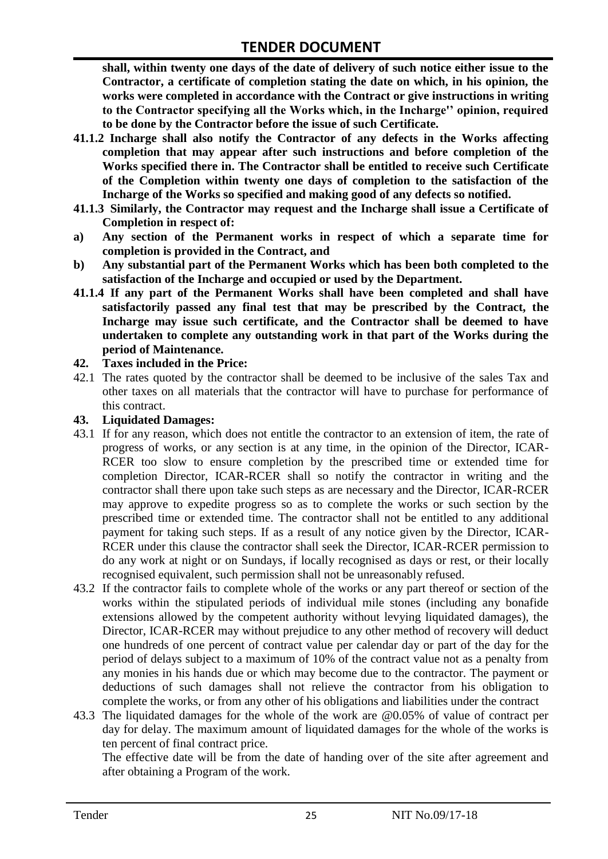**shall, within twenty one days of the date of delivery of such notice either issue to the Contractor, a certificate of completion stating the date on which, in his opinion, the works were completed in accordance with the Contract or give instructions in writing to the Contractor specifying all the Works which, in the Incharge'' opinion, required to be done by the Contractor before the issue of such Certificate.**

- **41.1.2 Incharge shall also notify the Contractor of any defects in the Works affecting completion that may appear after such instructions and before completion of the Works specified there in. The Contractor shall be entitled to receive such Certificate of the Completion within twenty one days of completion to the satisfaction of the Incharge of the Works so specified and making good of any defects so notified.**
- **41.1.3 Similarly, the Contractor may request and the Incharge shall issue a Certificate of Completion in respect of:**
- **a) Any section of the Permanent works in respect of which a separate time for completion is provided in the Contract, and**
- **b) Any substantial part of the Permanent Works which has been both completed to the satisfaction of the Incharge and occupied or used by the Department.**
- **41.1.4 If any part of the Permanent Works shall have been completed and shall have satisfactorily passed any final test that may be prescribed by the Contract, the Incharge may issue such certificate, and the Contractor shall be deemed to have undertaken to complete any outstanding work in that part of the Works during the period of Maintenance.**

#### **42. Taxes included in the Price:**

42.1 The rates quoted by the contractor shall be deemed to be inclusive of the sales Tax and other taxes on all materials that the contractor will have to purchase for performance of this contract.

#### **43. Liquidated Damages:**

- 43.1 If for any reason, which does not entitle the contractor to an extension of item, the rate of progress of works, or any section is at any time, in the opinion of the Director, ICAR-RCER too slow to ensure completion by the prescribed time or extended time for completion Director, ICAR-RCER shall so notify the contractor in writing and the contractor shall there upon take such steps as are necessary and the Director, ICAR-RCER may approve to expedite progress so as to complete the works or such section by the prescribed time or extended time. The contractor shall not be entitled to any additional payment for taking such steps. If as a result of any notice given by the Director, ICAR-RCER under this clause the contractor shall seek the Director, ICAR-RCER permission to do any work at night or on Sundays, if locally recognised as days or rest, or their locally recognised equivalent, such permission shall not be unreasonably refused.
- 43.2 If the contractor fails to complete whole of the works or any part thereof or section of the works within the stipulated periods of individual mile stones (including any bonafide extensions allowed by the competent authority without levying liquidated damages), the Director, ICAR-RCER may without prejudice to any other method of recovery will deduct one hundreds of one percent of contract value per calendar day or part of the day for the period of delays subject to a maximum of 10% of the contract value not as a penalty from any monies in his hands due or which may become due to the contractor. The payment or deductions of such damages shall not relieve the contractor from his obligation to complete the works, or from any other of his obligations and liabilities under the contract
- 43.3 The liquidated damages for the whole of the work are @0.05% of value of contract per day for delay. The maximum amount of liquidated damages for the whole of the works is ten percent of final contract price.

The effective date will be from the date of handing over of the site after agreement and after obtaining a Program of the work.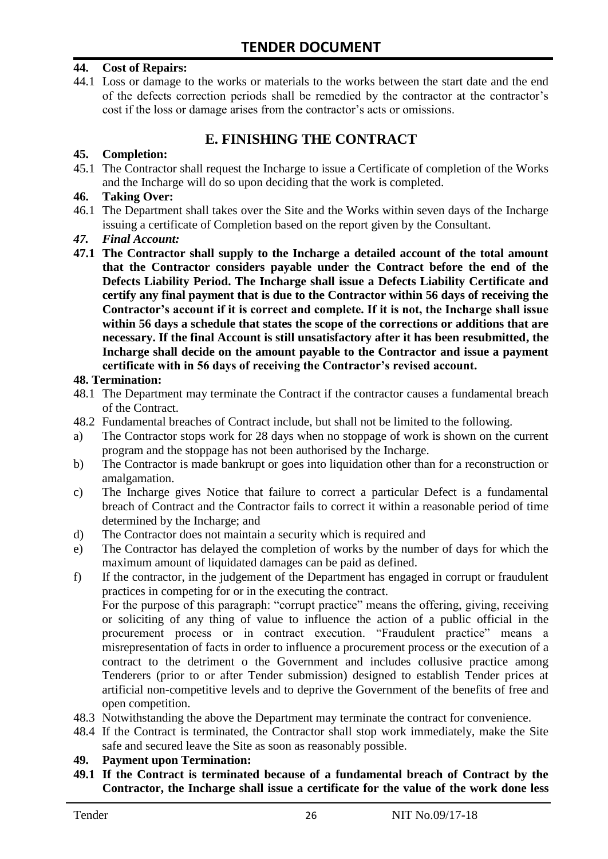#### **44. Cost of Repairs:**

44.1 Loss or damage to the works or materials to the works between the start date and the end of the defects correction periods shall be remedied by the contractor at the contractor's cost if the loss or damage arises from the contractor's acts or omissions.

# **E. FINISHING THE CONTRACT**

#### **45. Completion:**

45.1 The Contractor shall request the Incharge to issue a Certificate of completion of the Works and the Incharge will do so upon deciding that the work is completed.

#### **46. Taking Over:**

- 46.1 The Department shall takes over the Site and the Works within seven days of the Incharge issuing a certificate of Completion based on the report given by the Consultant.
- *47. Final Account:*
- **47.1 The Contractor shall supply to the Incharge a detailed account of the total amount that the Contractor considers payable under the Contract before the end of the Defects Liability Period. The Incharge shall issue a Defects Liability Certificate and certify any final payment that is due to the Contractor within 56 days of receiving the Contractor's account if it is correct and complete. If it is not, the Incharge shall issue within 56 days a schedule that states the scope of the corrections or additions that are necessary. If the final Account is still unsatisfactory after it has been resubmitted, the Incharge shall decide on the amount payable to the Contractor and issue a payment certificate with in 56 days of receiving the Contractor's revised account.**

#### **48. Termination:**

- 48.1 The Department may terminate the Contract if the contractor causes a fundamental breach of the Contract.
- 48.2 Fundamental breaches of Contract include, but shall not be limited to the following.
- a) The Contractor stops work for 28 days when no stoppage of work is shown on the current program and the stoppage has not been authorised by the Incharge.
- b) The Contractor is made bankrupt or goes into liquidation other than for a reconstruction or amalgamation.
- c) The Incharge gives Notice that failure to correct a particular Defect is a fundamental breach of Contract and the Contractor fails to correct it within a reasonable period of time determined by the Incharge; and
- d) The Contractor does not maintain a security which is required and
- e) The Contractor has delayed the completion of works by the number of days for which the maximum amount of liquidated damages can be paid as defined.
- f) If the contractor, in the judgement of the Department has engaged in corrupt or fraudulent practices in competing for or in the executing the contract.

For the purpose of this paragraph: "corrupt practice" means the offering, giving, receiving or soliciting of any thing of value to influence the action of a public official in the procurement process or in contract execution. "Fraudulent practice" means a misrepresentation of facts in order to influence a procurement process or the execution of a contract to the detriment o the Government and includes collusive practice among Tenderers (prior to or after Tender submission) designed to establish Tender prices at artificial non-competitive levels and to deprive the Government of the benefits of free and open competition.

- 48.3 Notwithstanding the above the Department may terminate the contract for convenience.
- 48.4 If the Contract is terminated, the Contractor shall stop work immediately, make the Site safe and secured leave the Site as soon as reasonably possible.

#### **49. Payment upon Termination:**

**49.1 If the Contract is terminated because of a fundamental breach of Contract by the Contractor, the Incharge shall issue a certificate for the value of the work done less**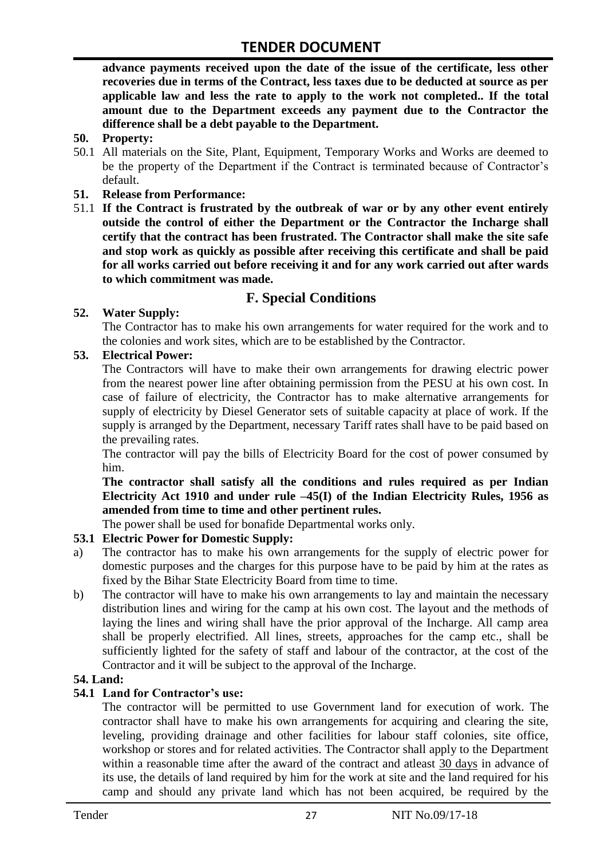**advance payments received upon the date of the issue of the certificate, less other recoveries due in terms of the Contract, less taxes due to be deducted at source as per applicable law and less the rate to apply to the work not completed.. If the total amount due to the Department exceeds any payment due to the Contractor the difference shall be a debt payable to the Department.**

- **50. Property:**
- 50.1 All materials on the Site, Plant, Equipment, Temporary Works and Works are deemed to be the property of the Department if the Contract is terminated because of Contractor's default.
- **51. Release from Performance:**
- 51.1 **If the Contract is frustrated by the outbreak of war or by any other event entirely outside the control of either the Department or the Contractor the Incharge shall certify that the contract has been frustrated. The Contractor shall make the site safe and stop work as quickly as possible after receiving this certificate and shall be paid for all works carried out before receiving it and for any work carried out after wards to which commitment was made.**

# **F. Special Conditions**

#### **52. Water Supply:**

The Contractor has to make his own arrangements for water required for the work and to the colonies and work sites, which are to be established by the Contractor.

#### **53. Electrical Power:**

The Contractors will have to make their own arrangements for drawing electric power from the nearest power line after obtaining permission from the PESU at his own cost. In case of failure of electricity, the Contractor has to make alternative arrangements for supply of electricity by Diesel Generator sets of suitable capacity at place of work. If the supply is arranged by the Department, necessary Tariff rates shall have to be paid based on the prevailing rates.

The contractor will pay the bills of Electricity Board for the cost of power consumed by him.

**The contractor shall satisfy all the conditions and rules required as per Indian Electricity Act 1910 and under rule –45(I) of the Indian Electricity Rules, 1956 as amended from time to time and other pertinent rules.**

The power shall be used for bonafide Departmental works only.

#### **53.1 Electric Power for Domestic Supply:**

- a) The contractor has to make his own arrangements for the supply of electric power for domestic purposes and the charges for this purpose have to be paid by him at the rates as fixed by the Bihar State Electricity Board from time to time.
- b) The contractor will have to make his own arrangements to lay and maintain the necessary distribution lines and wiring for the camp at his own cost. The layout and the methods of laying the lines and wiring shall have the prior approval of the Incharge. All camp area shall be properly electrified. All lines, streets, approaches for the camp etc., shall be sufficiently lighted for the safety of staff and labour of the contractor, at the cost of the Contractor and it will be subject to the approval of the Incharge.

#### **54. Land:**

#### **54.1 Land for Contractor's use:**

The contractor will be permitted to use Government land for execution of work. The contractor shall have to make his own arrangements for acquiring and clearing the site, leveling, providing drainage and other facilities for labour staff colonies, site office, workshop or stores and for related activities. The Contractor shall apply to the Department within a reasonable time after the award of the contract and atleast 30 days in advance of its use, the details of land required by him for the work at site and the land required for his camp and should any private land which has not been acquired, be required by the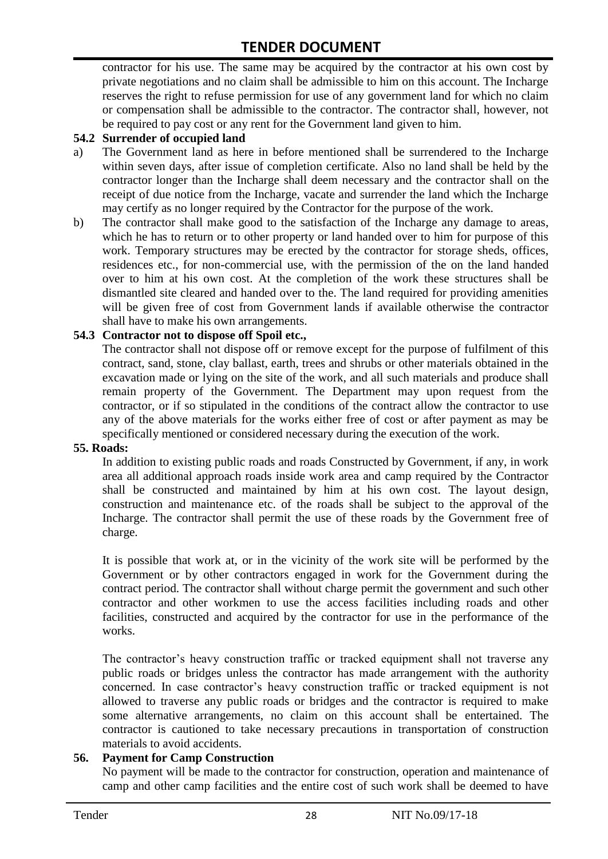contractor for his use. The same may be acquired by the contractor at his own cost by private negotiations and no claim shall be admissible to him on this account. The Incharge reserves the right to refuse permission for use of any government land for which no claim or compensation shall be admissible to the contractor. The contractor shall, however, not be required to pay cost or any rent for the Government land given to him.

#### **54.2 Surrender of occupied land**

- a) The Government land as here in before mentioned shall be surrendered to the Incharge within seven days, after issue of completion certificate. Also no land shall be held by the contractor longer than the Incharge shall deem necessary and the contractor shall on the receipt of due notice from the Incharge, vacate and surrender the land which the Incharge may certify as no longer required by the Contractor for the purpose of the work.
- b) The contractor shall make good to the satisfaction of the Incharge any damage to areas, which he has to return or to other property or land handed over to him for purpose of this work. Temporary structures may be erected by the contractor for storage sheds, offices, residences etc., for non-commercial use, with the permission of the on the land handed over to him at his own cost. At the completion of the work these structures shall be dismantled site cleared and handed over to the. The land required for providing amenities will be given free of cost from Government lands if available otherwise the contractor shall have to make his own arrangements.

#### **54.3 Contractor not to dispose off Spoil etc.,**

The contractor shall not dispose off or remove except for the purpose of fulfilment of this contract, sand, stone, clay ballast, earth, trees and shrubs or other materials obtained in the excavation made or lying on the site of the work, and all such materials and produce shall remain property of the Government. The Department may upon request from the contractor, or if so stipulated in the conditions of the contract allow the contractor to use any of the above materials for the works either free of cost or after payment as may be specifically mentioned or considered necessary during the execution of the work.

#### **55. Roads:**

In addition to existing public roads and roads Constructed by Government, if any, in work area all additional approach roads inside work area and camp required by the Contractor shall be constructed and maintained by him at his own cost. The layout design, construction and maintenance etc. of the roads shall be subject to the approval of the Incharge. The contractor shall permit the use of these roads by the Government free of charge.

It is possible that work at, or in the vicinity of the work site will be performed by the Government or by other contractors engaged in work for the Government during the contract period. The contractor shall without charge permit the government and such other contractor and other workmen to use the access facilities including roads and other facilities, constructed and acquired by the contractor for use in the performance of the works.

The contractor's heavy construction traffic or tracked equipment shall not traverse any public roads or bridges unless the contractor has made arrangement with the authority concerned. In case contractor's heavy construction traffic or tracked equipment is not allowed to traverse any public roads or bridges and the contractor is required to make some alternative arrangements, no claim on this account shall be entertained. The contractor is cautioned to take necessary precautions in transportation of construction materials to avoid accidents.

#### **56. Payment for Camp Construction**

No payment will be made to the contractor for construction, operation and maintenance of camp and other camp facilities and the entire cost of such work shall be deemed to have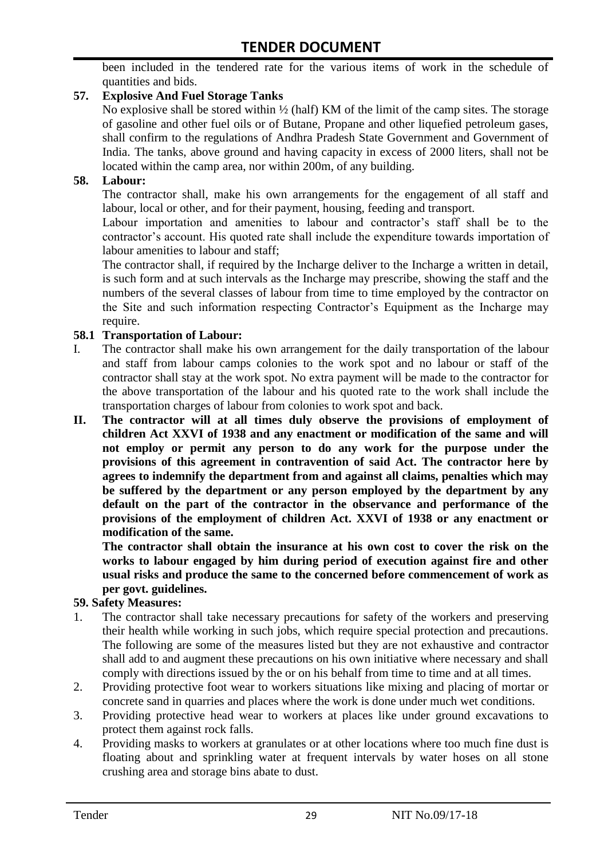been included in the tendered rate for the various items of work in the schedule of quantities and bids.

#### **57. Explosive And Fuel Storage Tanks**

No explosive shall be stored within ½ (half) KM of the limit of the camp sites. The storage of gasoline and other fuel oils or of Butane, Propane and other liquefied petroleum gases, shall confirm to the regulations of Andhra Pradesh State Government and Government of India. The tanks, above ground and having capacity in excess of 2000 liters, shall not be located within the camp area, nor within 200m, of any building.

#### **58. Labour:**

The contractor shall, make his own arrangements for the engagement of all staff and labour, local or other, and for their payment, housing, feeding and transport.

Labour importation and amenities to labour and contractor's staff shall be to the contractor's account. His quoted rate shall include the expenditure towards importation of labour amenities to labour and staff;

The contractor shall, if required by the Incharge deliver to the Incharge a written in detail, is such form and at such intervals as the Incharge may prescribe, showing the staff and the numbers of the several classes of labour from time to time employed by the contractor on the Site and such information respecting Contractor's Equipment as the Incharge may require.

#### **58.1 Transportation of Labour:**

- I. The contractor shall make his own arrangement for the daily transportation of the labour and staff from labour camps colonies to the work spot and no labour or staff of the contractor shall stay at the work spot. No extra payment will be made to the contractor for the above transportation of the labour and his quoted rate to the work shall include the transportation charges of labour from colonies to work spot and back.
- **II. The contractor will at all times duly observe the provisions of employment of children Act XXVI of 1938 and any enactment or modification of the same and will not employ or permit any person to do any work for the purpose under the provisions of this agreement in contravention of said Act. The contractor here by agrees to indemnify the department from and against all claims, penalties which may be suffered by the department or any person employed by the department by any default on the part of the contractor in the observance and performance of the provisions of the employment of children Act. XXVI of 1938 or any enactment or modification of the same.**

**The contractor shall obtain the insurance at his own cost to cover the risk on the works to labour engaged by him during period of execution against fire and other usual risks and produce the same to the concerned before commencement of work as per govt. guidelines.**

#### **59. Safety Measures:**

- 1. The contractor shall take necessary precautions for safety of the workers and preserving their health while working in such jobs, which require special protection and precautions. The following are some of the measures listed but they are not exhaustive and contractor shall add to and augment these precautions on his own initiative where necessary and shall comply with directions issued by the or on his behalf from time to time and at all times.
- 2. Providing protective foot wear to workers situations like mixing and placing of mortar or concrete sand in quarries and places where the work is done under much wet conditions.
- 3. Providing protective head wear to workers at places like under ground excavations to protect them against rock falls.
- 4. Providing masks to workers at granulates or at other locations where too much fine dust is floating about and sprinkling water at frequent intervals by water hoses on all stone crushing area and storage bins abate to dust.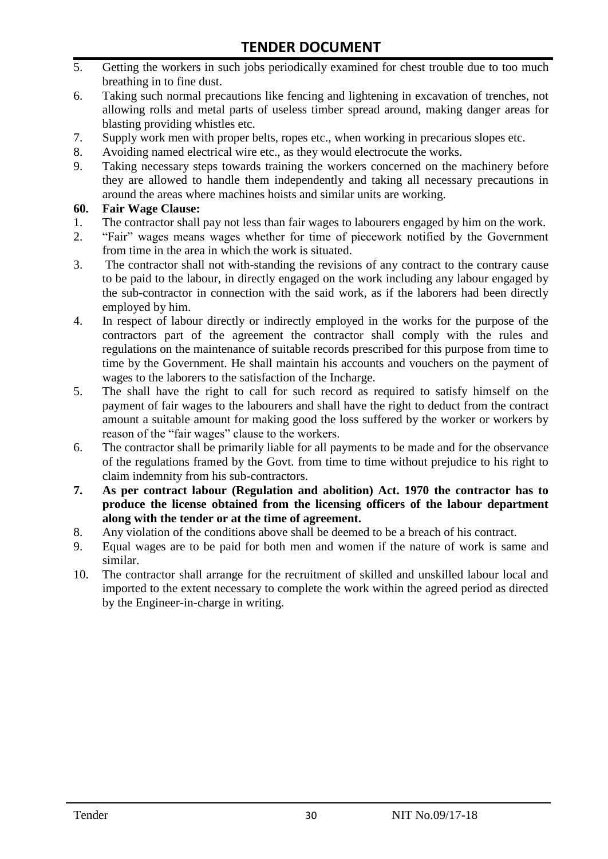- 5. Getting the workers in such jobs periodically examined for chest trouble due to too much breathing in to fine dust.
- 6. Taking such normal precautions like fencing and lightening in excavation of trenches, not allowing rolls and metal parts of useless timber spread around, making danger areas for blasting providing whistles etc.
- 7. Supply work men with proper belts, ropes etc., when working in precarious slopes etc.
- 8. Avoiding named electrical wire etc., as they would electrocute the works.
- 9. Taking necessary steps towards training the workers concerned on the machinery before they are allowed to handle them independently and taking all necessary precautions in around the areas where machines hoists and similar units are working.

#### **60. Fair Wage Clause:**

- 1. The contractor shall pay not less than fair wages to labourers engaged by him on the work.
- 2. "Fair" wages means wages whether for time of piecework notified by the Government from time in the area in which the work is situated.
- 3. The contractor shall not with-standing the revisions of any contract to the contrary cause to be paid to the labour, in directly engaged on the work including any labour engaged by the sub-contractor in connection with the said work, as if the laborers had been directly employed by him.
- 4. In respect of labour directly or indirectly employed in the works for the purpose of the contractors part of the agreement the contractor shall comply with the rules and regulations on the maintenance of suitable records prescribed for this purpose from time to time by the Government. He shall maintain his accounts and vouchers on the payment of wages to the laborers to the satisfaction of the Incharge.
- 5. The shall have the right to call for such record as required to satisfy himself on the payment of fair wages to the labourers and shall have the right to deduct from the contract amount a suitable amount for making good the loss suffered by the worker or workers by reason of the "fair wages" clause to the workers.
- 6. The contractor shall be primarily liable for all payments to be made and for the observance of the regulations framed by the Govt. from time to time without prejudice to his right to claim indemnity from his sub-contractors.
- **7. As per contract labour (Regulation and abolition) Act. 1970 the contractor has to produce the license obtained from the licensing officers of the labour department along with the tender or at the time of agreement.**
- 8. Any violation of the conditions above shall be deemed to be a breach of his contract.
- 9. Equal wages are to be paid for both men and women if the nature of work is same and similar.
- 10. The contractor shall arrange for the recruitment of skilled and unskilled labour local and imported to the extent necessary to complete the work within the agreed period as directed by the Engineer-in-charge in writing.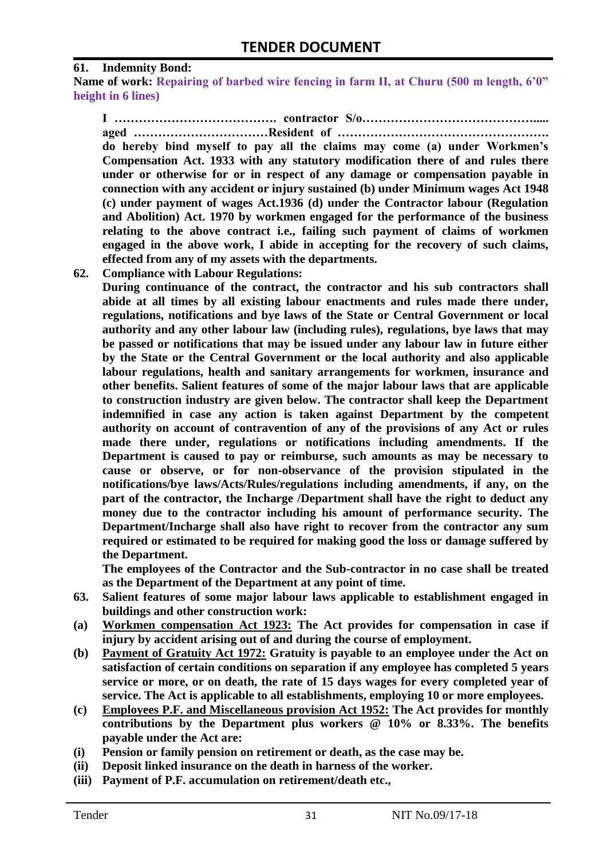#### **61. Indemnity Bond:**

**Name of work: Repairing of barbed wire fencing in farm II, at Churu (500 m length, 6'0" height in 6 lines)**

**I …………………………………. contractor S/o……………………………………..... aged ……………………………Resident of ……………………………………………. do hereby bind myself to pay all the claims may come (a) under Workmen's Compensation Act. 1933 with any statutory modification there of and rules there under or otherwise for or in respect of any damage or compensation payable in connection with any accident or injury sustained (b) under Minimum wages Act 1948 (c) under payment of wages Act.1936 (d) under the Contractor labour (Regulation and Abolition) Act. 1970 by workmen engaged for the performance of the business relating to the above contract i.e., failing such payment of claims of workmen engaged in the above work, I abide in accepting for the recovery of such claims, effected from any of my assets with the departments.**

**62. Compliance with Labour Regulations:**

**During continuance of the contract, the contractor and his sub contractors shall abide at all times by all existing labour enactments and rules made there under, regulations, notifications and bye laws of the State or Central Government or local authority and any other labour law (including rules), regulations, bye laws that may be passed or notifications that may be issued under any labour law in future either by the State or the Central Government or the local authority and also applicable labour regulations, health and sanitary arrangements for workmen, insurance and other benefits. Salient features of some of the major labour laws that are applicable to construction industry are given below. The contractor shall keep the Department indemnified in case any action is taken against Department by the competent authority on account of contravention of any of the provisions of any Act or rules made there under, regulations or notifications including amendments. If the Department is caused to pay or reimburse, such amounts as may be necessary to cause or observe, or for non-observance of the provision stipulated in the notifications/bye laws/Acts/Rules/regulations including amendments, if any, on the part of the contractor, the Incharge /Department shall have the right to deduct any money due to the contractor including his amount of performance security. The Department/Incharge shall also have right to recover from the contractor any sum required or estimated to be required for making good the loss or damage suffered by the Department.**

**The employees of the Contractor and the Sub-contractor in no case shall be treated as the Department of the Department at any point of time.**

- **63. Salient features of some major labour laws applicable to establishment engaged in buildings and other construction work:**
- **(a) Workmen compensation Act 1923: The Act provides for compensation in case if injury by accident arising out of and during the course of employment.**
- **(b) Payment of Gratuity Act 1972: Gratuity is payable to an employee under the Act on satisfaction of certain conditions on separation if any employee has completed 5 years service or more, or on death, the rate of 15 days wages for every completed year of service. The Act is applicable to all establishments, employing 10 or more employees.**
- **(c) Employees P.F. and Miscellaneous provision Act 1952: The Act provides for monthly contributions by the Department plus workers @ 10% or 8.33%. The benefits payable under the Act are:**
- **(i) Pension or family pension on retirement or death, as the case may be.**
- **(ii) Deposit linked insurance on the death in harness of the worker.**
- **(iii) Payment of P.F. accumulation on retirement/death etc.,**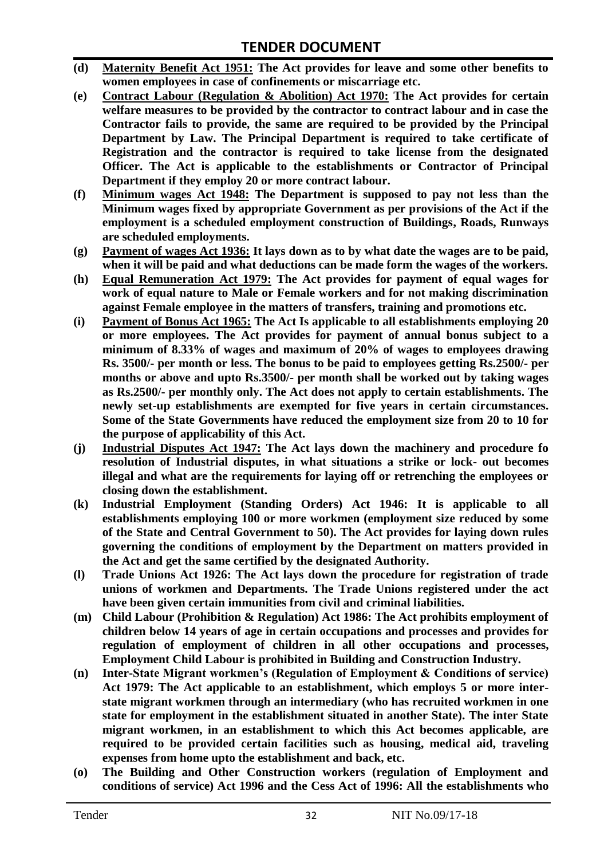- **(d) Maternity Benefit Act 1951: The Act provides for leave and some other benefits to women employees in case of confinements or miscarriage etc.**
- **(e) Contract Labour (Regulation & Abolition) Act 1970: The Act provides for certain welfare measures to be provided by the contractor to contract labour and in case the Contractor fails to provide, the same are required to be provided by the Principal Department by Law. The Principal Department is required to take certificate of Registration and the contractor is required to take license from the designated Officer. The Act is applicable to the establishments or Contractor of Principal Department if they employ 20 or more contract labour.**
- **(f) Minimum wages Act 1948: The Department is supposed to pay not less than the Minimum wages fixed by appropriate Government as per provisions of the Act if the employment is a scheduled employment construction of Buildings, Roads, Runways are scheduled employments.**
- **(g) Payment of wages Act 1936: It lays down as to by what date the wages are to be paid, when it will be paid and what deductions can be made form the wages of the workers.**
- **(h) Equal Remuneration Act 1979: The Act provides for payment of equal wages for work of equal nature to Male or Female workers and for not making discrimination against Female employee in the matters of transfers, training and promotions etc.**
- **(i) Payment of Bonus Act 1965: The Act Is applicable to all establishments employing 20 or more employees. The Act provides for payment of annual bonus subject to a minimum of 8.33% of wages and maximum of 20% of wages to employees drawing Rs. 3500/- per month or less. The bonus to be paid to employees getting Rs.2500/- per months or above and upto Rs.3500/- per month shall be worked out by taking wages as Rs.2500/- per monthly only. The Act does not apply to certain establishments. The newly set-up establishments are exempted for five years in certain circumstances. Some of the State Governments have reduced the employment size from 20 to 10 for the purpose of applicability of this Act.**
- **(j) Industrial Disputes Act 1947: The Act lays down the machinery and procedure fo resolution of Industrial disputes, in what situations a strike or lock- out becomes illegal and what are the requirements for laying off or retrenching the employees or closing down the establishment.**
- **(k) Industrial Employment (Standing Orders) Act 1946: It is applicable to all establishments employing 100 or more workmen (employment size reduced by some of the State and Central Government to 50). The Act provides for laying down rules governing the conditions of employment by the Department on matters provided in the Act and get the same certified by the designated Authority.**
- **(l) Trade Unions Act 1926: The Act lays down the procedure for registration of trade unions of workmen and Departments. The Trade Unions registered under the act have been given certain immunities from civil and criminal liabilities.**
- **(m) Child Labour (Prohibition & Regulation) Act 1986: The Act prohibits employment of children below 14 years of age in certain occupations and processes and provides for regulation of employment of children in all other occupations and processes, Employment Child Labour is prohibited in Building and Construction Industry.**
- **(n) Inter-State Migrant workmen's (Regulation of Employment & Conditions of service) Act 1979: The Act applicable to an establishment, which employs 5 or more interstate migrant workmen through an intermediary (who has recruited workmen in one state for employment in the establishment situated in another State). The inter State migrant workmen, in an establishment to which this Act becomes applicable, are required to be provided certain facilities such as housing, medical aid, traveling expenses from home upto the establishment and back, etc.**
- **(o) The Building and Other Construction workers (regulation of Employment and conditions of service) Act 1996 and the Cess Act of 1996: All the establishments who**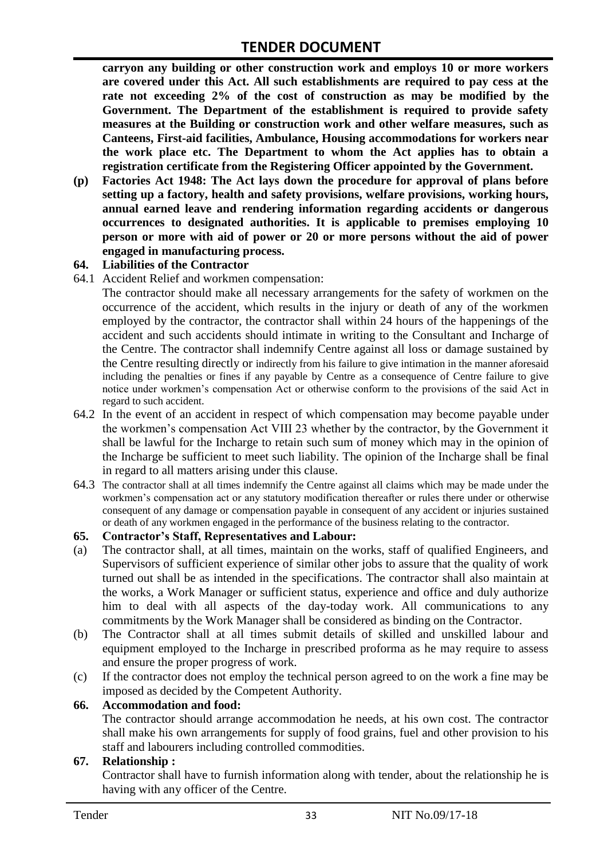**carryon any building or other construction work and employs 10 or more workers are covered under this Act. All such establishments are required to pay cess at the rate not exceeding 2% of the cost of construction as may be modified by the Government. The Department of the establishment is required to provide safety measures at the Building or construction work and other welfare measures, such as Canteens, First-aid facilities, Ambulance, Housing accommodations for workers near the work place etc. The Department to whom the Act applies has to obtain a registration certificate from the Registering Officer appointed by the Government.**

**(p) Factories Act 1948: The Act lays down the procedure for approval of plans before setting up a factory, health and safety provisions, welfare provisions, working hours, annual earned leave and rendering information regarding accidents or dangerous occurrences to designated authorities. It is applicable to premises employing 10 person or more with aid of power or 20 or more persons without the aid of power engaged in manufacturing process.**

#### **64. Liabilities of the Contractor**

64.1 Accident Relief and workmen compensation:

The contractor should make all necessary arrangements for the safety of workmen on the occurrence of the accident, which results in the injury or death of any of the workmen employed by the contractor, the contractor shall within 24 hours of the happenings of the accident and such accidents should intimate in writing to the Consultant and Incharge of the Centre. The contractor shall indemnify Centre against all loss or damage sustained by the Centre resulting directly or indirectly from his failure to give intimation in the manner aforesaid including the penalties or fines if any payable by Centre as a consequence of Centre failure to give notice under workmen's compensation Act or otherwise conform to the provisions of the said Act in regard to such accident.

- 64.2 In the event of an accident in respect of which compensation may become payable under the workmen's compensation Act VIII 23 whether by the contractor, by the Government it shall be lawful for the Incharge to retain such sum of money which may in the opinion of the Incharge be sufficient to meet such liability. The opinion of the Incharge shall be final in regard to all matters arising under this clause.
- 64.3 The contractor shall at all times indemnify the Centre against all claims which may be made under the workmen's compensation act or any statutory modification thereafter or rules there under or otherwise consequent of any damage or compensation payable in consequent of any accident or injuries sustained or death of any workmen engaged in the performance of the business relating to the contractor.

#### **65. Contractor's Staff, Representatives and Labour:**

- (a) The contractor shall, at all times, maintain on the works, staff of qualified Engineers, and Supervisors of sufficient experience of similar other jobs to assure that the quality of work turned out shall be as intended in the specifications. The contractor shall also maintain at the works, a Work Manager or sufficient status, experience and office and duly authorize him to deal with all aspects of the day-today work. All communications to any commitments by the Work Manager shall be considered as binding on the Contractor.
- (b) The Contractor shall at all times submit details of skilled and unskilled labour and equipment employed to the Incharge in prescribed proforma as he may require to assess and ensure the proper progress of work.
- (c) If the contractor does not employ the technical person agreed to on the work a fine may be imposed as decided by the Competent Authority.

#### **66. Accommodation and food:**

The contractor should arrange accommodation he needs, at his own cost. The contractor shall make his own arrangements for supply of food grains, fuel and other provision to his staff and labourers including controlled commodities.

#### **67. Relationship :**

Contractor shall have to furnish information along with tender, about the relationship he is having with any officer of the Centre.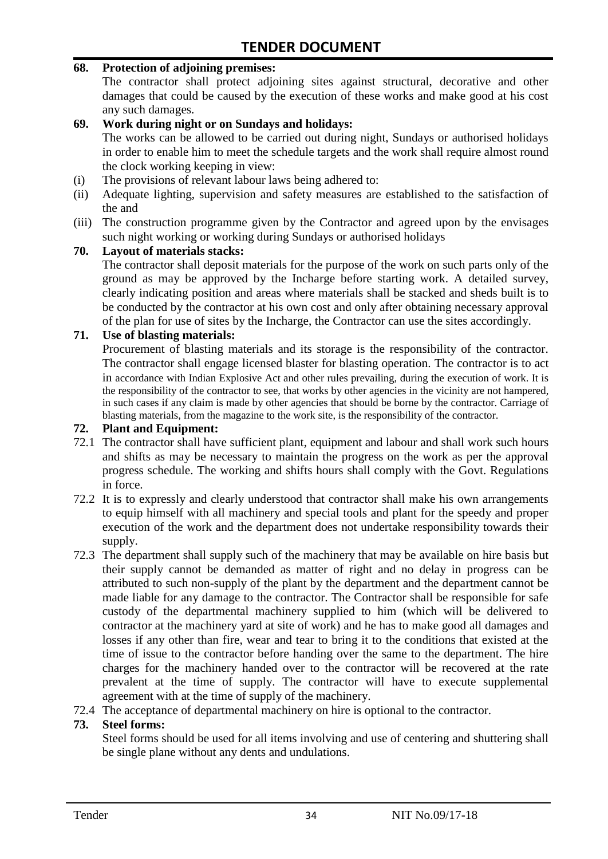#### **68. Protection of adjoining premises:**

The contractor shall protect adjoining sites against structural, decorative and other damages that could be caused by the execution of these works and make good at his cost any such damages.

#### **69. Work during night or on Sundays and holidays:**

The works can be allowed to be carried out during night, Sundays or authorised holidays in order to enable him to meet the schedule targets and the work shall require almost round the clock working keeping in view:

- (i) The provisions of relevant labour laws being adhered to:
- (ii) Adequate lighting, supervision and safety measures are established to the satisfaction of the and
- (iii) The construction programme given by the Contractor and agreed upon by the envisages such night working or working during Sundays or authorised holidays

#### **70. Layout of materials stacks:**

The contractor shall deposit materials for the purpose of the work on such parts only of the ground as may be approved by the Incharge before starting work. A detailed survey, clearly indicating position and areas where materials shall be stacked and sheds built is to be conducted by the contractor at his own cost and only after obtaining necessary approval of the plan for use of sites by the Incharge, the Contractor can use the sites accordingly.

#### **71. Use of blasting materials:**

Procurement of blasting materials and its storage is the responsibility of the contractor. The contractor shall engage licensed blaster for blasting operation. The contractor is to act in accordance with Indian Explosive Act and other rules prevailing, during the execution of work. It is the responsibility of the contractor to see, that works by other agencies in the vicinity are not hampered, in such cases if any claim is made by other agencies that should be borne by the contractor. Carriage of blasting materials, from the magazine to the work site, is the responsibility of the contractor.

#### **72. Plant and Equipment:**

- 72.1 The contractor shall have sufficient plant, equipment and labour and shall work such hours and shifts as may be necessary to maintain the progress on the work as per the approval progress schedule. The working and shifts hours shall comply with the Govt. Regulations in force.
- 72.2 It is to expressly and clearly understood that contractor shall make his own arrangements to equip himself with all machinery and special tools and plant for the speedy and proper execution of the work and the department does not undertake responsibility towards their supply.
- 72.3 The department shall supply such of the machinery that may be available on hire basis but their supply cannot be demanded as matter of right and no delay in progress can be attributed to such non-supply of the plant by the department and the department cannot be made liable for any damage to the contractor. The Contractor shall be responsible for safe custody of the departmental machinery supplied to him (which will be delivered to contractor at the machinery yard at site of work) and he has to make good all damages and losses if any other than fire, wear and tear to bring it to the conditions that existed at the time of issue to the contractor before handing over the same to the department. The hire charges for the machinery handed over to the contractor will be recovered at the rate prevalent at the time of supply. The contractor will have to execute supplemental agreement with at the time of supply of the machinery.
- 72.4 The acceptance of departmental machinery on hire is optional to the contractor.

#### **73. Steel forms:**

Steel forms should be used for all items involving and use of centering and shuttering shall be single plane without any dents and undulations.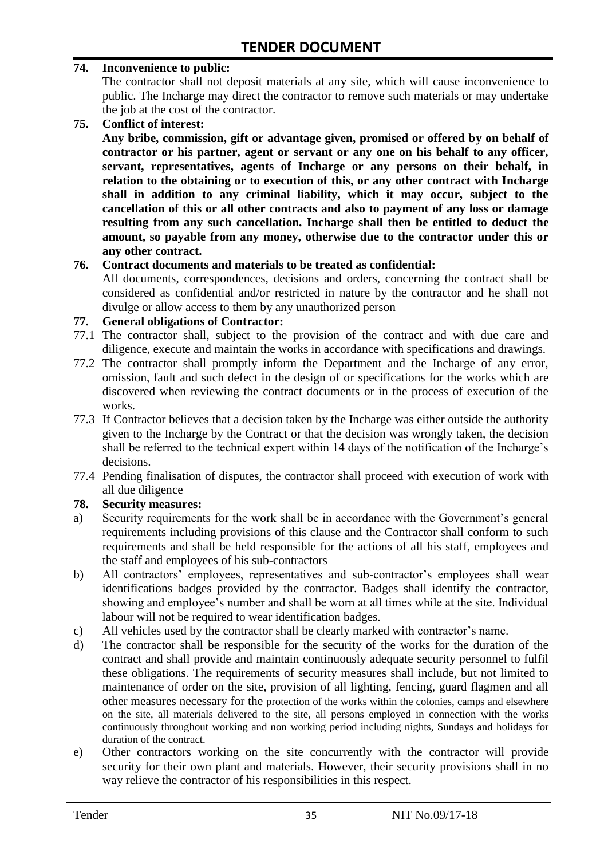#### **74. Inconvenience to public:**

The contractor shall not deposit materials at any site, which will cause inconvenience to public. The Incharge may direct the contractor to remove such materials or may undertake the job at the cost of the contractor.

**75. Conflict of interest:**

**Any bribe, commission, gift or advantage given, promised or offered by on behalf of contractor or his partner, agent or servant or any one on his behalf to any officer, servant, representatives, agents of Incharge or any persons on their behalf, in relation to the obtaining or to execution of this, or any other contract with Incharge shall in addition to any criminal liability, which it may occur, subject to the cancellation of this or all other contracts and also to payment of any loss or damage resulting from any such cancellation. Incharge shall then be entitled to deduct the amount, so payable from any money, otherwise due to the contractor under this or any other contract.**

#### **76. Contract documents and materials to be treated as confidential:**

All documents, correspondences, decisions and orders, concerning the contract shall be considered as confidential and/or restricted in nature by the contractor and he shall not divulge or allow access to them by any unauthorized person

#### **77. General obligations of Contractor:**

- 77.1 The contractor shall, subject to the provision of the contract and with due care and diligence, execute and maintain the works in accordance with specifications and drawings.
- 77.2 The contractor shall promptly inform the Department and the Incharge of any error, omission, fault and such defect in the design of or specifications for the works which are discovered when reviewing the contract documents or in the process of execution of the works.
- 77.3 If Contractor believes that a decision taken by the Incharge was either outside the authority given to the Incharge by the Contract or that the decision was wrongly taken, the decision shall be referred to the technical expert within 14 days of the notification of the Incharge's decisions.
- 77.4 Pending finalisation of disputes, the contractor shall proceed with execution of work with all due diligence

#### **78. Security measures:**

- a) Security requirements for the work shall be in accordance with the Government's general requirements including provisions of this clause and the Contractor shall conform to such requirements and shall be held responsible for the actions of all his staff, employees and the staff and employees of his sub-contractors
- b) All contractors' employees, representatives and sub-contractor's employees shall wear identifications badges provided by the contractor. Badges shall identify the contractor, showing and employee's number and shall be worn at all times while at the site. Individual labour will not be required to wear identification badges.
- c) All vehicles used by the contractor shall be clearly marked with contractor's name.
- d) The contractor shall be responsible for the security of the works for the duration of the contract and shall provide and maintain continuously adequate security personnel to fulfil these obligations. The requirements of security measures shall include, but not limited to maintenance of order on the site, provision of all lighting, fencing, guard flagmen and all other measures necessary for the protection of the works within the colonies, camps and elsewhere on the site, all materials delivered to the site, all persons employed in connection with the works continuously throughout working and non working period including nights, Sundays and holidays for duration of the contract.
- e) Other contractors working on the site concurrently with the contractor will provide security for their own plant and materials. However, their security provisions shall in no way relieve the contractor of his responsibilities in this respect.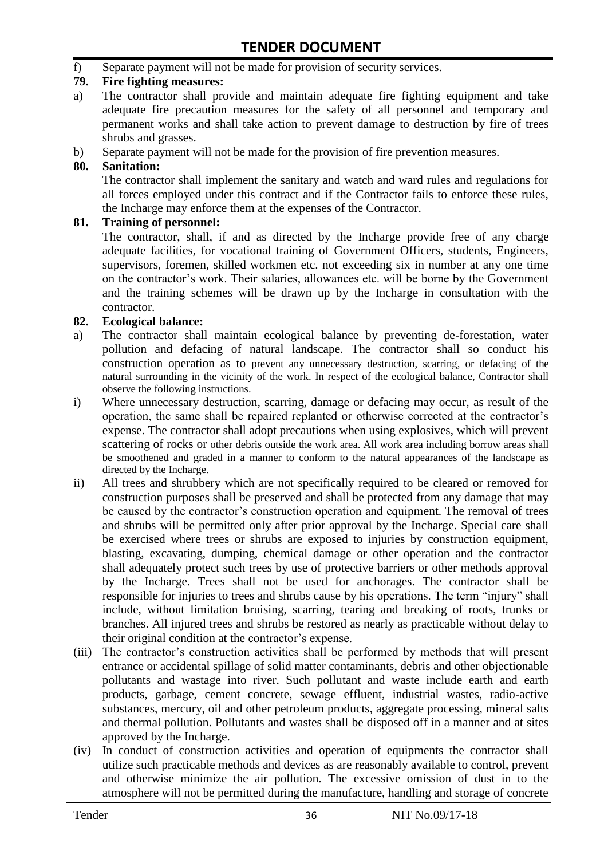f) Separate payment will not be made for provision of security services.

#### **79. Fire fighting measures:**

- a) The contractor shall provide and maintain adequate fire fighting equipment and take adequate fire precaution measures for the safety of all personnel and temporary and permanent works and shall take action to prevent damage to destruction by fire of trees shrubs and grasses.
- b) Separate payment will not be made for the provision of fire prevention measures.

#### **80. Sanitation:**

The contractor shall implement the sanitary and watch and ward rules and regulations for all forces employed under this contract and if the Contractor fails to enforce these rules, the Incharge may enforce them at the expenses of the Contractor.

#### **81. Training of personnel:**

The contractor, shall, if and as directed by the Incharge provide free of any charge adequate facilities, for vocational training of Government Officers, students, Engineers, supervisors, foremen, skilled workmen etc. not exceeding six in number at any one time on the contractor's work. Their salaries, allowances etc. will be borne by the Government and the training schemes will be drawn up by the Incharge in consultation with the contractor.

#### **82. Ecological balance:**

- a) The contractor shall maintain ecological balance by preventing de-forestation, water pollution and defacing of natural landscape. The contractor shall so conduct his construction operation as to prevent any unnecessary destruction, scarring, or defacing of the natural surrounding in the vicinity of the work. In respect of the ecological balance, Contractor shall observe the following instructions.
- i) Where unnecessary destruction, scarring, damage or defacing may occur, as result of the operation, the same shall be repaired replanted or otherwise corrected at the contractor's expense. The contractor shall adopt precautions when using explosives, which will prevent scattering of rocks or other debris outside the work area. All work area including borrow areas shall be smoothened and graded in a manner to conform to the natural appearances of the landscape as directed by the Incharge.
- ii) All trees and shrubbery which are not specifically required to be cleared or removed for construction purposes shall be preserved and shall be protected from any damage that may be caused by the contractor's construction operation and equipment. The removal of trees and shrubs will be permitted only after prior approval by the Incharge. Special care shall be exercised where trees or shrubs are exposed to injuries by construction equipment, blasting, excavating, dumping, chemical damage or other operation and the contractor shall adequately protect such trees by use of protective barriers or other methods approval by the Incharge. Trees shall not be used for anchorages. The contractor shall be responsible for injuries to trees and shrubs cause by his operations. The term "injury" shall include, without limitation bruising, scarring, tearing and breaking of roots, trunks or branches. All injured trees and shrubs be restored as nearly as practicable without delay to their original condition at the contractor's expense.
- (iii) The contractor's construction activities shall be performed by methods that will present entrance or accidental spillage of solid matter contaminants, debris and other objectionable pollutants and wastage into river. Such pollutant and waste include earth and earth products, garbage, cement concrete, sewage effluent, industrial wastes, radio-active substances, mercury, oil and other petroleum products, aggregate processing, mineral salts and thermal pollution. Pollutants and wastes shall be disposed off in a manner and at sites approved by the Incharge.
- (iv) In conduct of construction activities and operation of equipments the contractor shall utilize such practicable methods and devices as are reasonably available to control, prevent and otherwise minimize the air pollution. The excessive omission of dust in to the atmosphere will not be permitted during the manufacture, handling and storage of concrete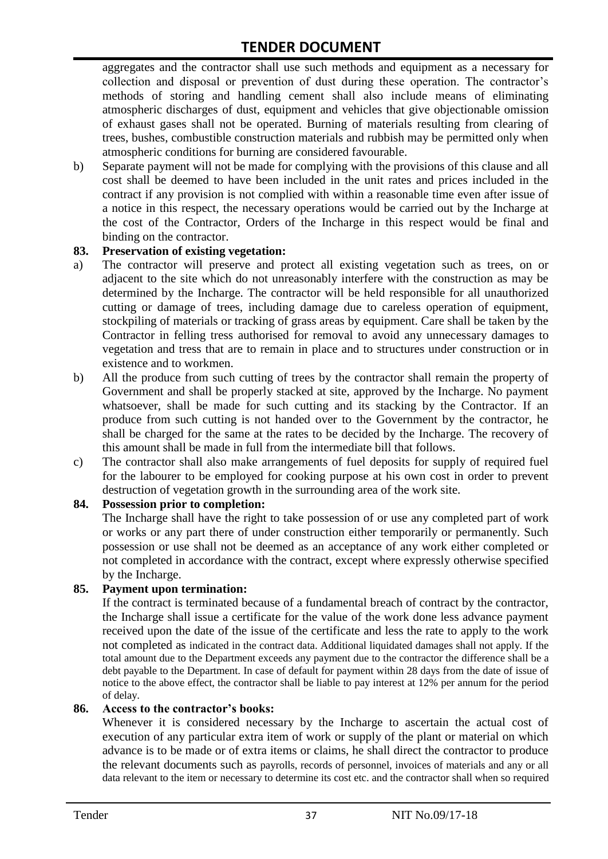aggregates and the contractor shall use such methods and equipment as a necessary for collection and disposal or prevention of dust during these operation. The contractor's methods of storing and handling cement shall also include means of eliminating atmospheric discharges of dust, equipment and vehicles that give objectionable omission of exhaust gases shall not be operated. Burning of materials resulting from clearing of trees, bushes, combustible construction materials and rubbish may be permitted only when atmospheric conditions for burning are considered favourable.

b) Separate payment will not be made for complying with the provisions of this clause and all cost shall be deemed to have been included in the unit rates and prices included in the contract if any provision is not complied with within a reasonable time even after issue of a notice in this respect, the necessary operations would be carried out by the Incharge at the cost of the Contractor, Orders of the Incharge in this respect would be final and binding on the contractor.

#### **83. Preservation of existing vegetation:**

- a) The contractor will preserve and protect all existing vegetation such as trees, on or adjacent to the site which do not unreasonably interfere with the construction as may be determined by the Incharge. The contractor will be held responsible for all unauthorized cutting or damage of trees, including damage due to careless operation of equipment, stockpiling of materials or tracking of grass areas by equipment. Care shall be taken by the Contractor in felling tress authorised for removal to avoid any unnecessary damages to vegetation and tress that are to remain in place and to structures under construction or in existence and to workmen.
- b) All the produce from such cutting of trees by the contractor shall remain the property of Government and shall be properly stacked at site, approved by the Incharge. No payment whatsoever, shall be made for such cutting and its stacking by the Contractor. If an produce from such cutting is not handed over to the Government by the contractor, he shall be charged for the same at the rates to be decided by the Incharge. The recovery of this amount shall be made in full from the intermediate bill that follows.
- c) The contractor shall also make arrangements of fuel deposits for supply of required fuel for the labourer to be employed for cooking purpose at his own cost in order to prevent destruction of vegetation growth in the surrounding area of the work site.

#### **84. Possession prior to completion:**

The Incharge shall have the right to take possession of or use any completed part of work or works or any part there of under construction either temporarily or permanently. Such possession or use shall not be deemed as an acceptance of any work either completed or not completed in accordance with the contract, except where expressly otherwise specified by the Incharge.

#### **85. Payment upon termination:**

If the contract is terminated because of a fundamental breach of contract by the contractor, the Incharge shall issue a certificate for the value of the work done less advance payment received upon the date of the issue of the certificate and less the rate to apply to the work not completed as indicated in the contract data. Additional liquidated damages shall not apply. If the total amount due to the Department exceeds any payment due to the contractor the difference shall be a debt payable to the Department. In case of default for payment within 28 days from the date of issue of notice to the above effect, the contractor shall be liable to pay interest at 12% per annum for the period of delay.

#### **86. Access to the contractor's books:**

Whenever it is considered necessary by the Incharge to ascertain the actual cost of execution of any particular extra item of work or supply of the plant or material on which advance is to be made or of extra items or claims, he shall direct the contractor to produce the relevant documents such as payrolls, records of personnel, invoices of materials and any or all data relevant to the item or necessary to determine its cost etc. and the contractor shall when so required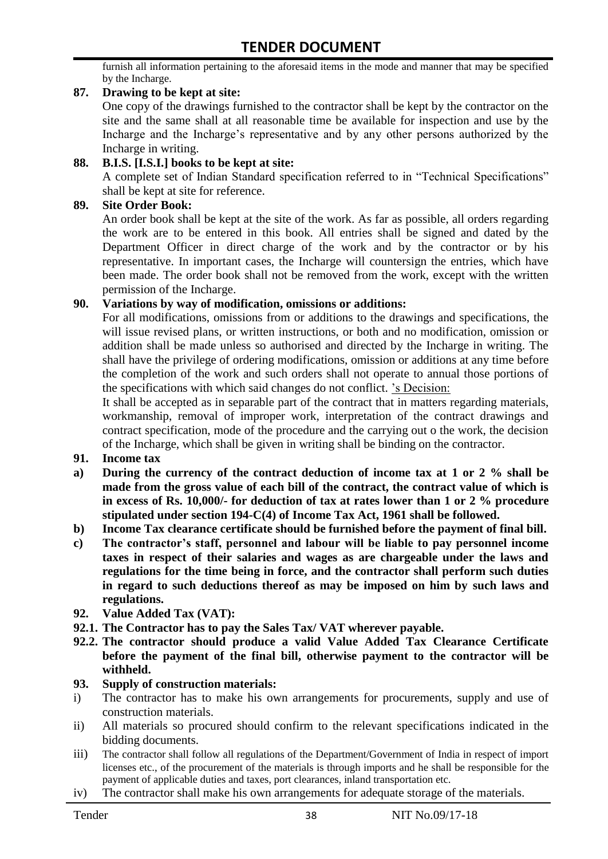furnish all information pertaining to the aforesaid items in the mode and manner that may be specified by the Incharge.

#### **87. Drawing to be kept at site:**

One copy of the drawings furnished to the contractor shall be kept by the contractor on the site and the same shall at all reasonable time be available for inspection and use by the Incharge and the Incharge's representative and by any other persons authorized by the Incharge in writing.

#### **88. B.I.S. [I.S.I.] books to be kept at site:**

A complete set of Indian Standard specification referred to in "Technical Specifications" shall be kept at site for reference.

#### **89. Site Order Book:**

An order book shall be kept at the site of the work. As far as possible, all orders regarding the work are to be entered in this book. All entries shall be signed and dated by the Department Officer in direct charge of the work and by the contractor or by his representative. In important cases, the Incharge will countersign the entries, which have been made. The order book shall not be removed from the work, except with the written permission of the Incharge.

#### **90. Variations by way of modification, omissions or additions:**

For all modifications, omissions from or additions to the drawings and specifications, the will issue revised plans, or written instructions, or both and no modification, omission or addition shall be made unless so authorised and directed by the Incharge in writing. The shall have the privilege of ordering modifications, omission or additions at any time before the completion of the work and such orders shall not operate to annual those portions of the specifications with which said changes do not conflict. 's Decision:

It shall be accepted as in separable part of the contract that in matters regarding materials, workmanship, removal of improper work, interpretation of the contract drawings and contract specification, mode of the procedure and the carrying out o the work, the decision of the Incharge, which shall be given in writing shall be binding on the contractor.

- **91. Income tax**
- **a) During the currency of the contract deduction of income tax at 1 or 2 % shall be made from the gross value of each bill of the contract, the contract value of which is in excess of Rs. 10,000/- for deduction of tax at rates lower than 1 or 2 % procedure stipulated under section 194-C(4) of Income Tax Act, 1961 shall be followed.**
- **b) Income Tax clearance certificate should be furnished before the payment of final bill.**
- **c) The contractor's staff, personnel and labour will be liable to pay personnel income taxes in respect of their salaries and wages as are chargeable under the laws and regulations for the time being in force, and the contractor shall perform such duties in regard to such deductions thereof as may be imposed on him by such laws and regulations.**
- **92. Value Added Tax (VAT):**
- **92.1. The Contractor has to pay the Sales Tax/ VAT wherever payable.**
- **92.2. The contractor should produce a valid Value Added Tax Clearance Certificate before the payment of the final bill, otherwise payment to the contractor will be withheld.**

#### **93. Supply of construction materials:**

- i) The contractor has to make his own arrangements for procurements, supply and use of construction materials.
- ii) All materials so procured should confirm to the relevant specifications indicated in the bidding documents.
- iii) The contractor shall follow all regulations of the Department/Government of India in respect of import licenses etc., of the procurement of the materials is through imports and he shall be responsible for the payment of applicable duties and taxes, port clearances, inland transportation etc.
- iv) The contractor shall make his own arrangements for adequate storage of the materials.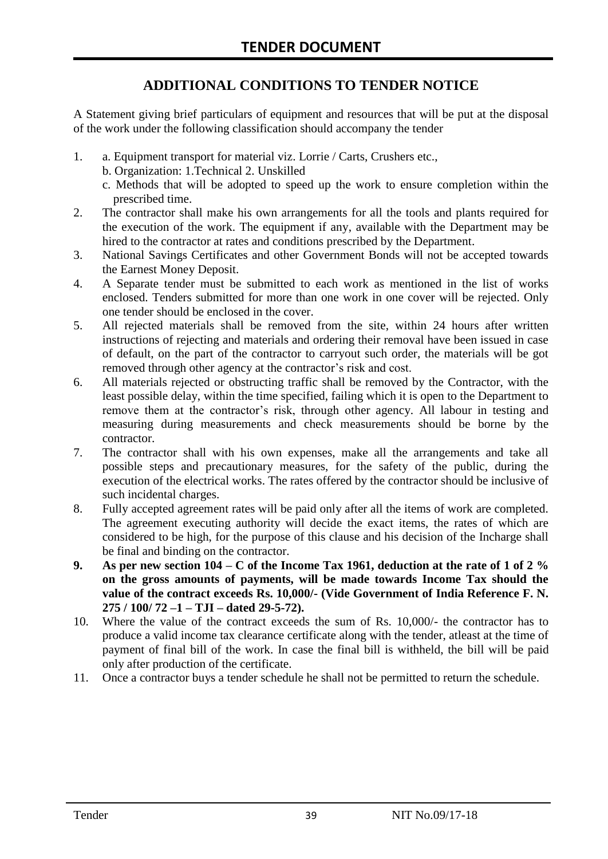# **ADDITIONAL CONDITIONS TO TENDER NOTICE**

A Statement giving brief particulars of equipment and resources that will be put at the disposal of the work under the following classification should accompany the tender

- 1. a. Equipment transport for material viz. Lorrie / Carts, Crushers etc.,
	- b. Organization: 1.Technical 2. Unskilled
	- c. Methods that will be adopted to speed up the work to ensure completion within the prescribed time.
- 2. The contractor shall make his own arrangements for all the tools and plants required for the execution of the work. The equipment if any, available with the Department may be hired to the contractor at rates and conditions prescribed by the Department.
- 3. National Savings Certificates and other Government Bonds will not be accepted towards the Earnest Money Deposit.
- 4. A Separate tender must be submitted to each work as mentioned in the list of works enclosed. Tenders submitted for more than one work in one cover will be rejected. Only one tender should be enclosed in the cover.
- 5. All rejected materials shall be removed from the site, within 24 hours after written instructions of rejecting and materials and ordering their removal have been issued in case of default, on the part of the contractor to carryout such order, the materials will be got removed through other agency at the contractor's risk and cost.
- 6. All materials rejected or obstructing traffic shall be removed by the Contractor, with the least possible delay, within the time specified, failing which it is open to the Department to remove them at the contractor's risk, through other agency. All labour in testing and measuring during measurements and check measurements should be borne by the contractor.
- 7. The contractor shall with his own expenses, make all the arrangements and take all possible steps and precautionary measures, for the safety of the public, during the execution of the electrical works. The rates offered by the contractor should be inclusive of such incidental charges.
- 8. Fully accepted agreement rates will be paid only after all the items of work are completed. The agreement executing authority will decide the exact items, the rates of which are considered to be high, for the purpose of this clause and his decision of the Incharge shall be final and binding on the contractor.
- **9. As per new section 104 – C of the Income Tax 1961, deduction at the rate of 1 of 2 % on the gross amounts of payments, will be made towards Income Tax should the value of the contract exceeds Rs. 10,000/- (Vide Government of India Reference F. N. 275 / 100/ 72 –1 – TJI – dated 29-5-72).**
- 10. Where the value of the contract exceeds the sum of Rs. 10,000/- the contractor has to produce a valid income tax clearance certificate along with the tender, atleast at the time of payment of final bill of the work. In case the final bill is withheld, the bill will be paid only after production of the certificate.
- 11. Once a contractor buys a tender schedule he shall not be permitted to return the schedule.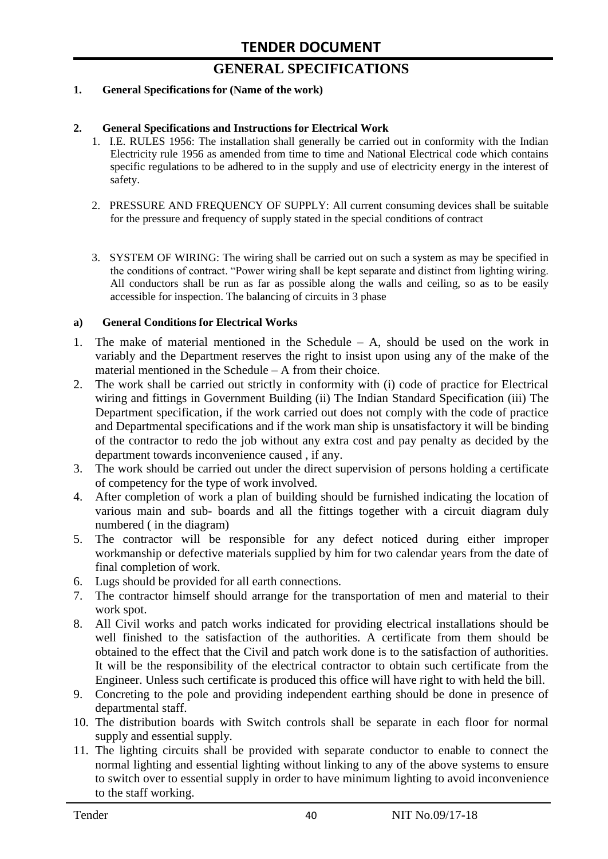# **GENERAL SPECIFICATIONS**

#### **1. General Specifications for (Name of the work)**

#### **2. General Specifications and Instructions for Electrical Work**

- 1. I.E. RULES 1956: The installation shall generally be carried out in conformity with the Indian Electricity rule 1956 as amended from time to time and National Electrical code which contains specific regulations to be adhered to in the supply and use of electricity energy in the interest of safety.
- 2. PRESSURE AND FREQUENCY OF SUPPLY: All current consuming devices shall be suitable for the pressure and frequency of supply stated in the special conditions of contract
- 3. SYSTEM OF WIRING: The wiring shall be carried out on such a system as may be specified in the conditions of contract. "Power wiring shall be kept separate and distinct from lighting wiring. All conductors shall be run as far as possible along the walls and ceiling, so as to be easily accessible for inspection. The balancing of circuits in 3 phase

#### **a) General Conditions for Electrical Works**

- 1. The make of material mentioned in the Schedule A, should be used on the work in variably and the Department reserves the right to insist upon using any of the make of the material mentioned in the Schedule – A from their choice.
- 2. The work shall be carried out strictly in conformity with (i) code of practice for Electrical wiring and fittings in Government Building (ii) The Indian Standard Specification (iii) The Department specification, if the work carried out does not comply with the code of practice and Departmental specifications and if the work man ship is unsatisfactory it will be binding of the contractor to redo the job without any extra cost and pay penalty as decided by the department towards inconvenience caused , if any.
- 3. The work should be carried out under the direct supervision of persons holding a certificate of competency for the type of work involved.
- 4. After completion of work a plan of building should be furnished indicating the location of various main and sub- boards and all the fittings together with a circuit diagram duly numbered ( in the diagram)
- 5. The contractor will be responsible for any defect noticed during either improper workmanship or defective materials supplied by him for two calendar years from the date of final completion of work.
- 6. Lugs should be provided for all earth connections.
- 7. The contractor himself should arrange for the transportation of men and material to their work spot.
- 8. All Civil works and patch works indicated for providing electrical installations should be well finished to the satisfaction of the authorities. A certificate from them should be obtained to the effect that the Civil and patch work done is to the satisfaction of authorities. It will be the responsibility of the electrical contractor to obtain such certificate from the Engineer. Unless such certificate is produced this office will have right to with held the bill.
- 9. Concreting to the pole and providing independent earthing should be done in presence of departmental staff.
- 10. The distribution boards with Switch controls shall be separate in each floor for normal supply and essential supply.
- 11. The lighting circuits shall be provided with separate conductor to enable to connect the normal lighting and essential lighting without linking to any of the above systems to ensure to switch over to essential supply in order to have minimum lighting to avoid inconvenience to the staff working.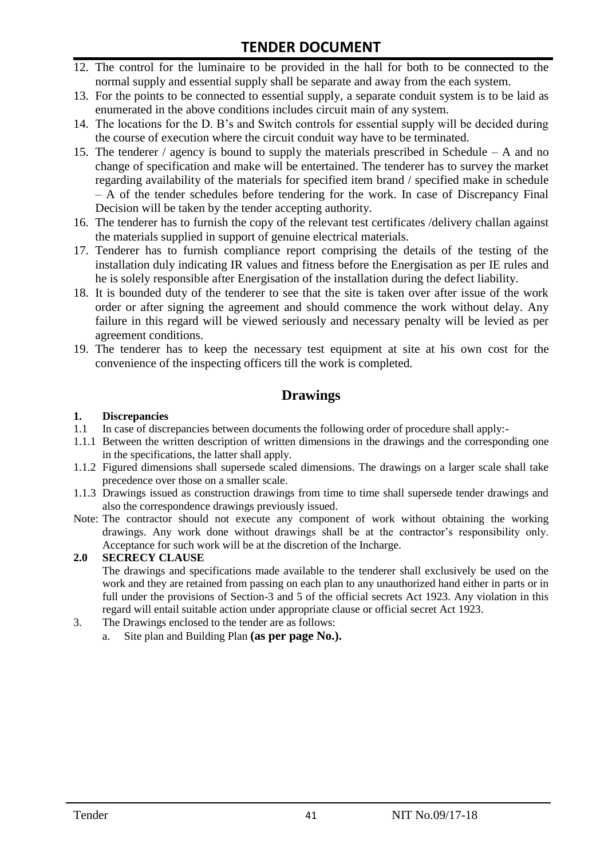# **TENDER DOCUMENT**

- 12. The control for the luminaire to be provided in the hall for both to be connected to the normal supply and essential supply shall be separate and away from the each system.
- 13. For the points to be connected to essential supply, a separate conduit system is to be laid as enumerated in the above conditions includes circuit main of any system.
- 14. The locations for the D. B's and Switch controls for essential supply will be decided during the course of execution where the circuit conduit way have to be terminated.
- 15. The tenderer / agency is bound to supply the materials prescribed in Schedule A and no change of specification and make will be entertained. The tenderer has to survey the market regarding availability of the materials for specified item brand / specified make in schedule – A of the tender schedules before tendering for the work. In case of Discrepancy Final Decision will be taken by the tender accepting authority.
- 16. The tenderer has to furnish the copy of the relevant test certificates /delivery challan against the materials supplied in support of genuine electrical materials.
- 17. Tenderer has to furnish compliance report comprising the details of the testing of the installation duly indicating IR values and fitness before the Energisation as per IE rules and he is solely responsible after Energisation of the installation during the defect liability.
- 18. It is bounded duty of the tenderer to see that the site is taken over after issue of the work order or after signing the agreement and should commence the work without delay. Any failure in this regard will be viewed seriously and necessary penalty will be levied as per agreement conditions.
- 19. The tenderer has to keep the necessary test equipment at site at his own cost for the convenience of the inspecting officers till the work is completed.

### **Drawings**

#### **1. Discrepancies**

- 1.1 In case of discrepancies between documents the following order of procedure shall apply:-
- 1.1.1 Between the written description of written dimensions in the drawings and the corresponding one in the specifications, the latter shall apply.
- 1.1.2 Figured dimensions shall supersede scaled dimensions. The drawings on a larger scale shall take precedence over those on a smaller scale.
- 1.1.3 Drawings issued as construction drawings from time to time shall supersede tender drawings and also the correspondence drawings previously issued.
- Note: The contractor should not execute any component of work without obtaining the working drawings. Any work done without drawings shall be at the contractor's responsibility only. Acceptance for such work will be at the discretion of the Incharge.

#### **2.0 SECRECY CLAUSE**

The drawings and specifications made available to the tenderer shall exclusively be used on the work and they are retained from passing on each plan to any unauthorized hand either in parts or in full under the provisions of Section-3 and 5 of the official secrets Act 1923. Any violation in this regard will entail suitable action under appropriate clause or official secret Act 1923.

- 3. The Drawings enclosed to the tender are as follows:
	- a. Site plan and Building Plan **(as per page No.).**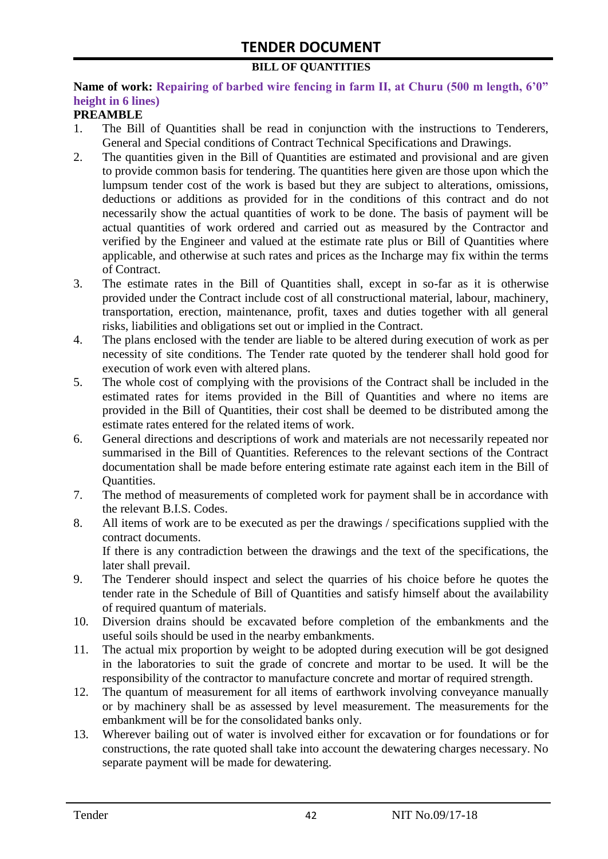#### **BILL OF QUANTITIES**

#### **Name of work: Repairing of barbed wire fencing in farm II, at Churu (500 m length, 6'0" height in 6 lines)**

#### **PREAMBLE**

- 1. The Bill of Quantities shall be read in conjunction with the instructions to Tenderers, General and Special conditions of Contract Technical Specifications and Drawings.
- 2. The quantities given in the Bill of Quantities are estimated and provisional and are given to provide common basis for tendering. The quantities here given are those upon which the lumpsum tender cost of the work is based but they are subject to alterations, omissions, deductions or additions as provided for in the conditions of this contract and do not necessarily show the actual quantities of work to be done. The basis of payment will be actual quantities of work ordered and carried out as measured by the Contractor and verified by the Engineer and valued at the estimate rate plus or Bill of Quantities where applicable, and otherwise at such rates and prices as the Incharge may fix within the terms of Contract.
- 3. The estimate rates in the Bill of Quantities shall, except in so-far as it is otherwise provided under the Contract include cost of all constructional material, labour, machinery, transportation, erection, maintenance, profit, taxes and duties together with all general risks, liabilities and obligations set out or implied in the Contract.
- 4. The plans enclosed with the tender are liable to be altered during execution of work as per necessity of site conditions. The Tender rate quoted by the tenderer shall hold good for execution of work even with altered plans.
- 5. The whole cost of complying with the provisions of the Contract shall be included in the estimated rates for items provided in the Bill of Quantities and where no items are provided in the Bill of Quantities, their cost shall be deemed to be distributed among the estimate rates entered for the related items of work.
- 6. General directions and descriptions of work and materials are not necessarily repeated nor summarised in the Bill of Quantities. References to the relevant sections of the Contract documentation shall be made before entering estimate rate against each item in the Bill of Quantities.
- 7. The method of measurements of completed work for payment shall be in accordance with the relevant B.I.S. Codes.
- 8. All items of work are to be executed as per the drawings / specifications supplied with the contract documents. If there is any contradiction between the drawings and the text of the specifications, the
- later shall prevail. 9. The Tenderer should inspect and select the quarries of his choice before he quotes the tender rate in the Schedule of Bill of Quantities and satisfy himself about the availability of required quantum of materials.
- 10. Diversion drains should be excavated before completion of the embankments and the useful soils should be used in the nearby embankments.
- 11. The actual mix proportion by weight to be adopted during execution will be got designed in the laboratories to suit the grade of concrete and mortar to be used. It will be the responsibility of the contractor to manufacture concrete and mortar of required strength.
- 12. The quantum of measurement for all items of earthwork involving conveyance manually or by machinery shall be as assessed by level measurement. The measurements for the embankment will be for the consolidated banks only.
- 13. Wherever bailing out of water is involved either for excavation or for foundations or for constructions, the rate quoted shall take into account the dewatering charges necessary. No separate payment will be made for dewatering.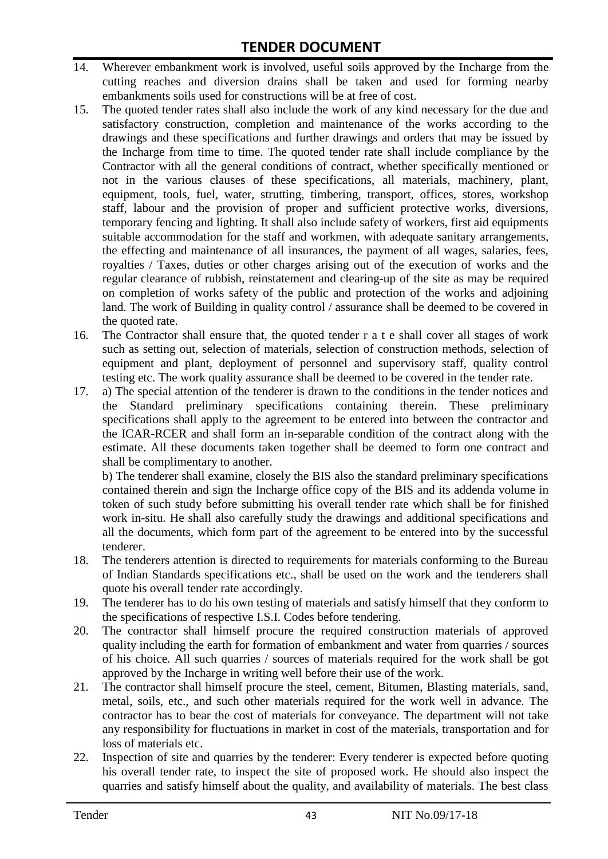- 14. Wherever embankment work is involved, useful soils approved by the Incharge from the cutting reaches and diversion drains shall be taken and used for forming nearby embankments soils used for constructions will be at free of cost.
- 15. The quoted tender rates shall also include the work of any kind necessary for the due and satisfactory construction, completion and maintenance of the works according to the drawings and these specifications and further drawings and orders that may be issued by the Incharge from time to time. The quoted tender rate shall include compliance by the Contractor with all the general conditions of contract, whether specifically mentioned or not in the various clauses of these specifications, all materials, machinery, plant, equipment, tools, fuel, water, strutting, timbering, transport, offices, stores, workshop staff, labour and the provision of proper and sufficient protective works, diversions, temporary fencing and lighting. It shall also include safety of workers, first aid equipments suitable accommodation for the staff and workmen, with adequate sanitary arrangements, the effecting and maintenance of all insurances, the payment of all wages, salaries, fees, royalties / Taxes, duties or other charges arising out of the execution of works and the regular clearance of rubbish, reinstatement and clearing-up of the site as may be required on completion of works safety of the public and protection of the works and adjoining land. The work of Building in quality control / assurance shall be deemed to be covered in the quoted rate.
- 16. The Contractor shall ensure that, the quoted tender r a t e shall cover all stages of work such as setting out, selection of materials, selection of construction methods, selection of equipment and plant, deployment of personnel and supervisory staff, quality control testing etc. The work quality assurance shall be deemed to be covered in the tender rate.
- 17. a) The special attention of the tenderer is drawn to the conditions in the tender notices and the Standard preliminary specifications containing therein. These preliminary specifications shall apply to the agreement to be entered into between the contractor and the ICAR-RCER and shall form an in-separable condition of the contract along with the estimate. All these documents taken together shall be deemed to form one contract and shall be complimentary to another.

b) The tenderer shall examine, closely the BIS also the standard preliminary specifications contained therein and sign the Incharge office copy of the BIS and its addenda volume in token of such study before submitting his overall tender rate which shall be for finished work in-situ. He shall also carefully study the drawings and additional specifications and all the documents, which form part of the agreement to be entered into by the successful tenderer.

- 18. The tenderers attention is directed to requirements for materials conforming to the Bureau of Indian Standards specifications etc., shall be used on the work and the tenderers shall quote his overall tender rate accordingly.
- 19. The tenderer has to do his own testing of materials and satisfy himself that they conform to the specifications of respective I.S.I. Codes before tendering.
- 20. The contractor shall himself procure the required construction materials of approved quality including the earth for formation of embankment and water from quarries / sources of his choice. All such quarries / sources of materials required for the work shall be got approved by the Incharge in writing well before their use of the work.
- 21. The contractor shall himself procure the steel, cement, Bitumen, Blasting materials, sand, metal, soils, etc., and such other materials required for the work well in advance. The contractor has to bear the cost of materials for conveyance. The department will not take any responsibility for fluctuations in market in cost of the materials, transportation and for loss of materials etc.
- 22. Inspection of site and quarries by the tenderer: Every tenderer is expected before quoting his overall tender rate, to inspect the site of proposed work. He should also inspect the quarries and satisfy himself about the quality, and availability of materials. The best class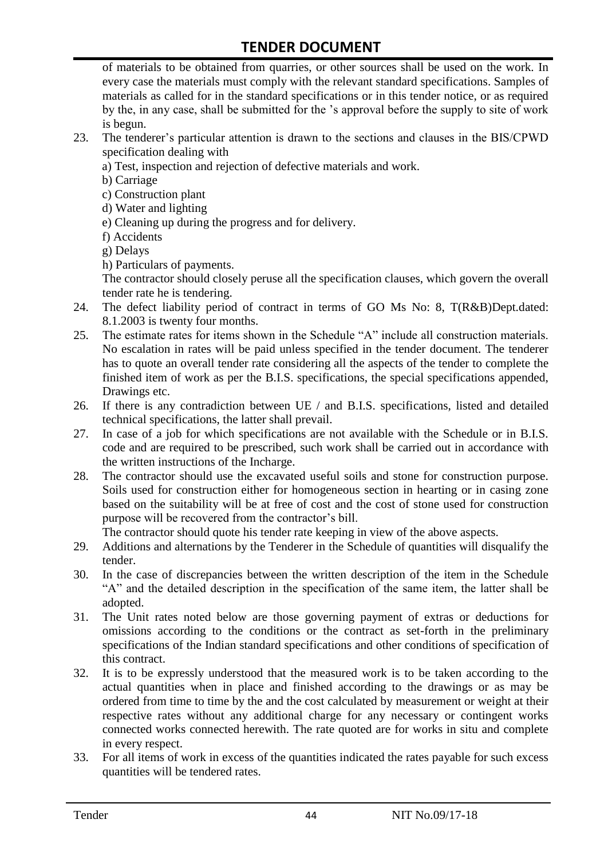of materials to be obtained from quarries, or other sources shall be used on the work. In every case the materials must comply with the relevant standard specifications. Samples of materials as called for in the standard specifications or in this tender notice, or as required by the, in any case, shall be submitted for the 's approval before the supply to site of work is begun.

- 23. The tenderer's particular attention is drawn to the sections and clauses in the BIS/CPWD specification dealing with
	- a) Test, inspection and rejection of defective materials and work.
	- b) Carriage
	- c) Construction plant
	- d) Water and lighting
	- e) Cleaning up during the progress and for delivery.
	- f) Accidents
	- g) Delays
	- h) Particulars of payments.

The contractor should closely peruse all the specification clauses, which govern the overall tender rate he is tendering.

- 24. The defect liability period of contract in terms of GO Ms No: 8, T(R&B)Dept.dated: 8.1.2003 is twenty four months.
- 25. The estimate rates for items shown in the Schedule "A" include all construction materials. No escalation in rates will be paid unless specified in the tender document. The tenderer has to quote an overall tender rate considering all the aspects of the tender to complete the finished item of work as per the B.I.S. specifications, the special specifications appended, Drawings etc.
- 26. If there is any contradiction between UE / and B.I.S. specifications, listed and detailed technical specifications, the latter shall prevail.
- 27. In case of a job for which specifications are not available with the Schedule or in B.I.S. code and are required to be prescribed, such work shall be carried out in accordance with the written instructions of the Incharge.
- 28. The contractor should use the excavated useful soils and stone for construction purpose. Soils used for construction either for homogeneous section in hearting or in casing zone based on the suitability will be at free of cost and the cost of stone used for construction purpose will be recovered from the contractor's bill.

The contractor should quote his tender rate keeping in view of the above aspects.

- 29. Additions and alternations by the Tenderer in the Schedule of quantities will disqualify the tender.
- 30. In the case of discrepancies between the written description of the item in the Schedule "A" and the detailed description in the specification of the same item, the latter shall be adopted.
- 31. The Unit rates noted below are those governing payment of extras or deductions for omissions according to the conditions or the contract as set-forth in the preliminary specifications of the Indian standard specifications and other conditions of specification of this contract.
- 32. It is to be expressly understood that the measured work is to be taken according to the actual quantities when in place and finished according to the drawings or as may be ordered from time to time by the and the cost calculated by measurement or weight at their respective rates without any additional charge for any necessary or contingent works connected works connected herewith. The rate quoted are for works in situ and complete in every respect.
- 33. For all items of work in excess of the quantities indicated the rates payable for such excess quantities will be tendered rates.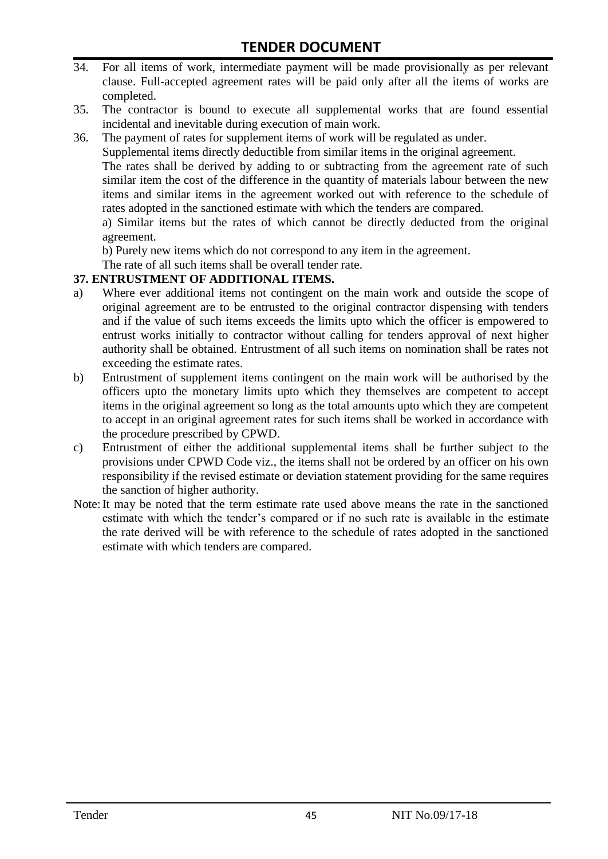- 34. For all items of work, intermediate payment will be made provisionally as per relevant clause. Full-accepted agreement rates will be paid only after all the items of works are completed.
- 35. The contractor is bound to execute all supplemental works that are found essential incidental and inevitable during execution of main work.
- 36. The payment of rates for supplement items of work will be regulated as under.

Supplemental items directly deductible from similar items in the original agreement.

The rates shall be derived by adding to or subtracting from the agreement rate of such similar item the cost of the difference in the quantity of materials labour between the new items and similar items in the agreement worked out with reference to the schedule of rates adopted in the sanctioned estimate with which the tenders are compared.

a) Similar items but the rates of which cannot be directly deducted from the original agreement.

b) Purely new items which do not correspond to any item in the agreement.

The rate of all such items shall be overall tender rate.

#### **37. ENTRUSTMENT OF ADDITIONAL ITEMS.**

- a) Where ever additional items not contingent on the main work and outside the scope of original agreement are to be entrusted to the original contractor dispensing with tenders and if the value of such items exceeds the limits upto which the officer is empowered to entrust works initially to contractor without calling for tenders approval of next higher authority shall be obtained. Entrustment of all such items on nomination shall be rates not exceeding the estimate rates.
- b) Entrustment of supplement items contingent on the main work will be authorised by the officers upto the monetary limits upto which they themselves are competent to accept items in the original agreement so long as the total amounts upto which they are competent to accept in an original agreement rates for such items shall be worked in accordance with the procedure prescribed by CPWD.
- c) Entrustment of either the additional supplemental items shall be further subject to the provisions under CPWD Code viz., the items shall not be ordered by an officer on his own responsibility if the revised estimate or deviation statement providing for the same requires the sanction of higher authority.
- Note:It may be noted that the term estimate rate used above means the rate in the sanctioned estimate with which the tender's compared or if no such rate is available in the estimate the rate derived will be with reference to the schedule of rates adopted in the sanctioned estimate with which tenders are compared.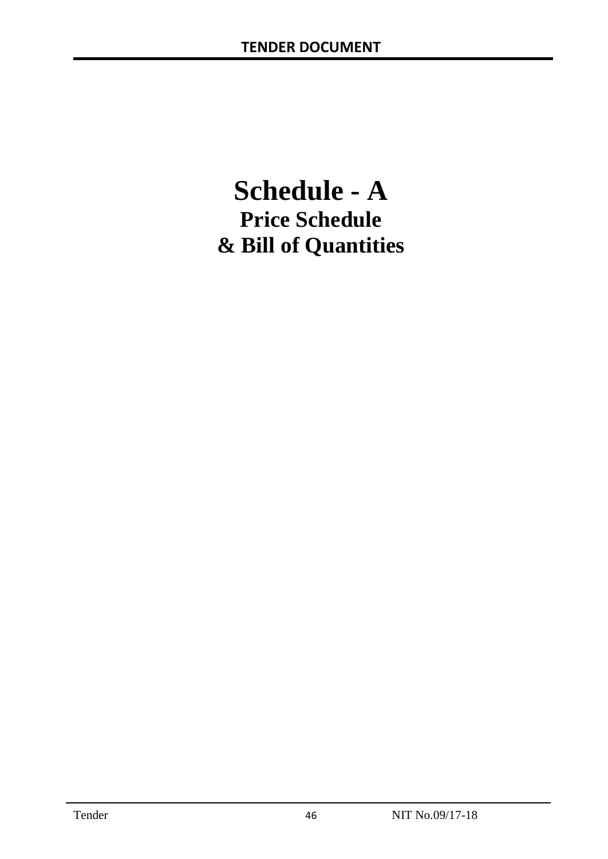# **Schedule - A Price Schedule & Bill of Quantities**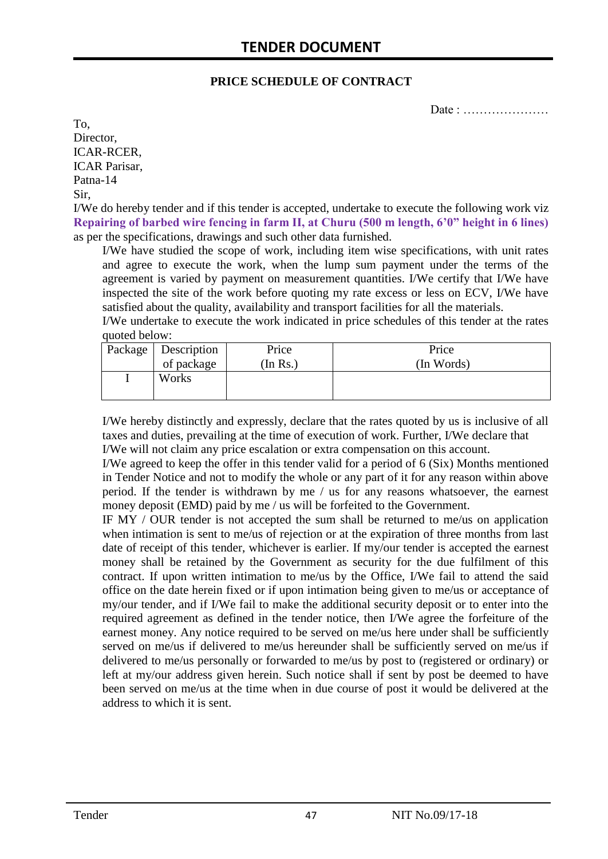#### **PRICE SCHEDULE OF CONTRACT**

Date : …………………

To, Director, ICAR-RCER, ICAR Parisar, Patna-14 Sir,

I/We do hereby tender and if this tender is accepted, undertake to execute the following work viz **Repairing of barbed wire fencing in farm II, at Churu (500 m length, 6'0" height in 6 lines)** as per the specifications, drawings and such other data furnished.

I/We have studied the scope of work, including item wise specifications, with unit rates and agree to execute the work, when the lump sum payment under the terms of the agreement is varied by payment on measurement quantities. I/We certify that I/We have inspected the site of the work before quoting my rate excess or less on ECV, I/We have satisfied about the quality, availability and transport facilities for all the materials.

I/We undertake to execute the work indicated in price schedules of this tender at the rates quoted below:

| Package   Description | Price    | Price      |
|-----------------------|----------|------------|
| of package            | (In Rs.) | (In Words) |
| Works                 |          |            |
|                       |          |            |

I/We hereby distinctly and expressly, declare that the rates quoted by us is inclusive of all taxes and duties, prevailing at the time of execution of work. Further, I/We declare that I/We will not claim any price escalation or extra compensation on this account.

I/We agreed to keep the offer in this tender valid for a period of 6 (Six) Months mentioned in Tender Notice and not to modify the whole or any part of it for any reason within above period. If the tender is withdrawn by me / us for any reasons whatsoever, the earnest money deposit (EMD) paid by me / us will be forfeited to the Government.

IF MY / OUR tender is not accepted the sum shall be returned to me/us on application when intimation is sent to me/us of rejection or at the expiration of three months from last date of receipt of this tender, whichever is earlier. If my/our tender is accepted the earnest money shall be retained by the Government as security for the due fulfilment of this contract. If upon written intimation to me/us by the Office, I/We fail to attend the said office on the date herein fixed or if upon intimation being given to me/us or acceptance of my/our tender, and if I/We fail to make the additional security deposit or to enter into the required agreement as defined in the tender notice, then I/We agree the forfeiture of the earnest money. Any notice required to be served on me/us here under shall be sufficiently served on me/us if delivered to me/us hereunder shall be sufficiently served on me/us if delivered to me/us personally or forwarded to me/us by post to (registered or ordinary) or left at my/our address given herein. Such notice shall if sent by post be deemed to have been served on me/us at the time when in due course of post it would be delivered at the address to which it is sent.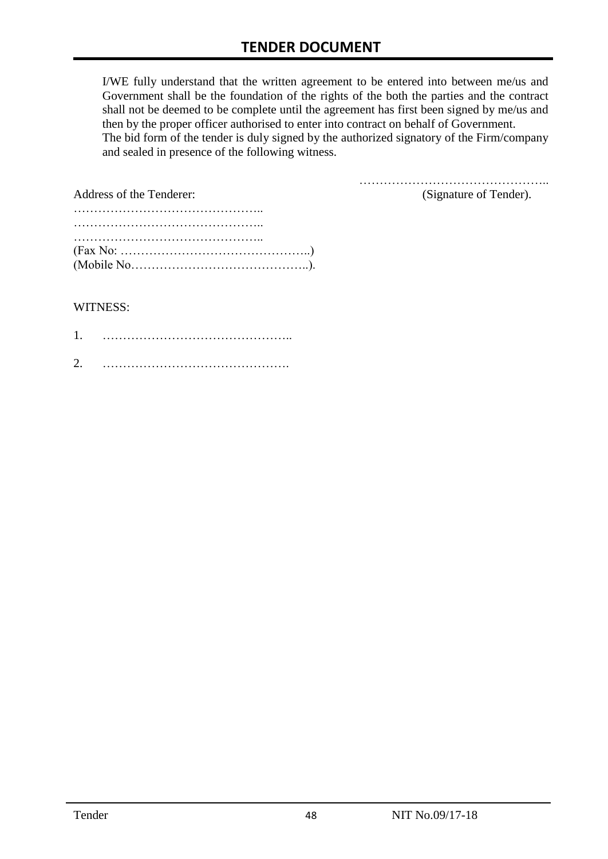I/WE fully understand that the written agreement to be entered into between me/us and Government shall be the foundation of the rights of the both the parties and the contract shall not be deemed to be complete until the agreement has first been signed by me/us and then by the proper officer authorised to enter into contract on behalf of Government. The bid form of the tender is duly signed by the authorized signatory of the Firm/company and sealed in presence of the following witness.

| <b>Address of the Tenderer:</b>                                                                        | (Signature of Tender). |
|--------------------------------------------------------------------------------------------------------|------------------------|
|                                                                                                        |                        |
|                                                                                                        |                        |
|                                                                                                        |                        |
| $(Fax No: \ldots \ldots \ldots \ldots \ldots \ldots \ldots \ldots \ldots \ldots \ldots \ldots \ldots)$ |                        |
|                                                                                                        |                        |

#### WITNESS:

| $\bigcap$ |  |
|-----------|--|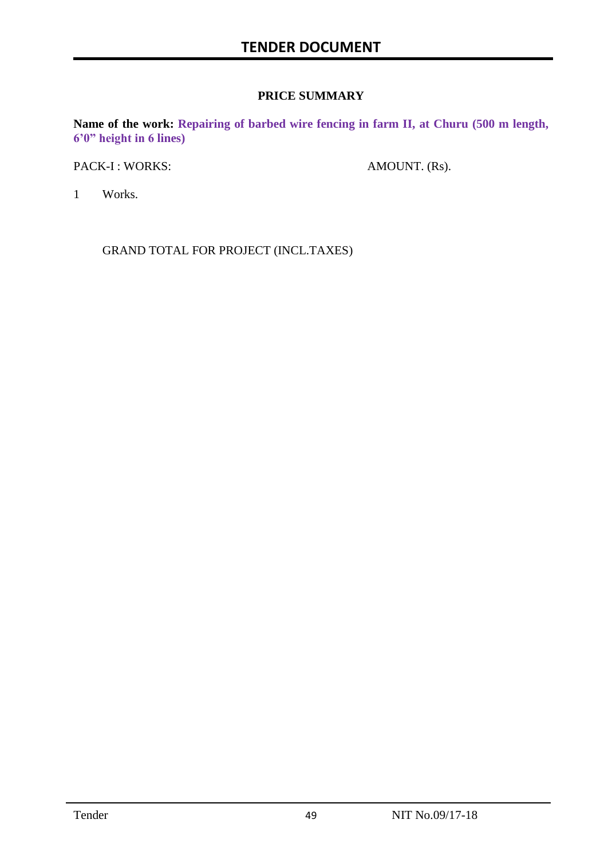#### **PRICE SUMMARY**

**Name of the work: Repairing of barbed wire fencing in farm II, at Churu (500 m length, 6'0" height in 6 lines)**

PACK-I : WORKS: AMOUNT. (Rs).

1 Works.

GRAND TOTAL FOR PROJECT (INCL.TAXES)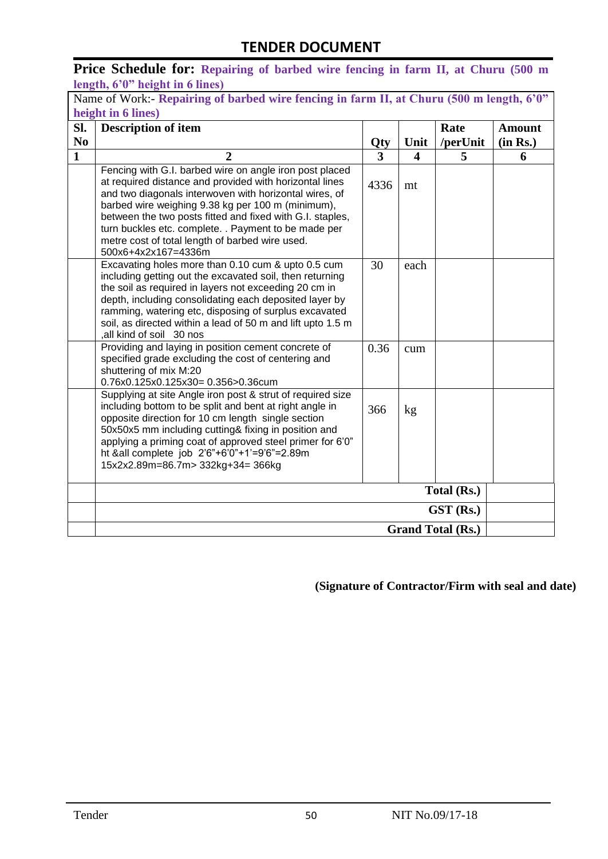**Price Schedule for: Repairing of barbed wire fencing in farm II, at Churu (500 m length, 6'0" height in 6 lines)**

|                          | Name of Work:- Repairing of barbed wire fencing in farm II, at Churu (500 m length, 6'0"                                                                                                                                                                                                                                                                                                                                         |      |      |             |               |
|--------------------------|----------------------------------------------------------------------------------------------------------------------------------------------------------------------------------------------------------------------------------------------------------------------------------------------------------------------------------------------------------------------------------------------------------------------------------|------|------|-------------|---------------|
|                          | height in 6 lines)                                                                                                                                                                                                                                                                                                                                                                                                               |      |      |             |               |
| SI.                      | <b>Description of item</b>                                                                                                                                                                                                                                                                                                                                                                                                       |      |      | Rate        | <b>Amount</b> |
| N <sub>0</sub>           |                                                                                                                                                                                                                                                                                                                                                                                                                                  | Qty  | Unit | /perUnit    | (in Rs.)      |
| $\mathbf{1}$             | $\overline{2}$                                                                                                                                                                                                                                                                                                                                                                                                                   | 3    | 4    | 5           | 6             |
|                          | Fencing with G.I. barbed wire on angle iron post placed<br>at required distance and provided with horizontal lines<br>and two diagonals interwoven with horizontal wires, of<br>barbed wire weighing 9.38 kg per 100 m (minimum),<br>between the two posts fitted and fixed with G.I. staples,<br>turn buckles etc. complete. . Payment to be made per<br>metre cost of total length of barbed wire used.<br>500x6+4x2x167=4336m | 4336 | mt   |             |               |
|                          | Excavating holes more than 0.10 cum & upto 0.5 cum<br>including getting out the excavated soil, then returning<br>the soil as required in layers not exceeding 20 cm in<br>depth, including consolidating each deposited layer by<br>ramming, watering etc, disposing of surplus excavated<br>soil, as directed within a lead of 50 m and lift upto 1.5 m<br>all kind of soil 30 nos                                             | 30   | each |             |               |
|                          | Providing and laying in position cement concrete of<br>specified grade excluding the cost of centering and<br>shuttering of mix M:20<br>0.76x0.125x0.125x30= 0.356>0.36cum                                                                                                                                                                                                                                                       | 0.36 | cum  |             |               |
|                          | Supplying at site Angle iron post & strut of required size<br>including bottom to be split and bent at right angle in<br>opposite direction for 10 cm length single section<br>50x50x5 mm including cutting& fixing in position and<br>applying a priming coat of approved steel primer for 6'0"<br>ht &all complete job 2'6"+6'0"+1'=9'6"=2.89m<br>15x2x2.89m=86.7m> 332kg+34= 366kg                                            | 366  | kg   |             |               |
|                          |                                                                                                                                                                                                                                                                                                                                                                                                                                  |      |      | Total (Rs.) |               |
|                          | GST (Rs.)                                                                                                                                                                                                                                                                                                                                                                                                                        |      |      |             |               |
| <b>Grand Total (Rs.)</b> |                                                                                                                                                                                                                                                                                                                                                                                                                                  |      |      |             |               |

**(Signature of Contractor/Firm with seal and date)**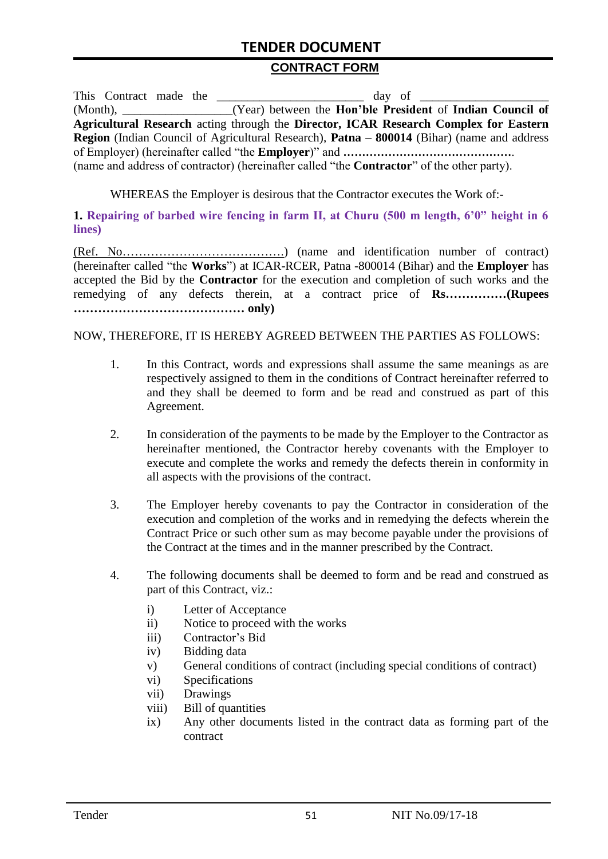## **TENDER DOCUMENT**

#### **CONTRACT FORM**

|                                                                                                          | day of                                                                                             |  |  |  |
|----------------------------------------------------------------------------------------------------------|----------------------------------------------------------------------------------------------------|--|--|--|
|                                                                                                          | (Year) between the Hon'ble President of Indian Council of                                          |  |  |  |
|                                                                                                          | Agricultural Research acting through the Director, ICAR Research Complex for Eastern               |  |  |  |
| <b>Region</b> (Indian Council of Agricultural Research), <b>Patna – 800014</b> (Bihar) (name and address |                                                                                                    |  |  |  |
|                                                                                                          |                                                                                                    |  |  |  |
|                                                                                                          | (name and address of contractor) (hereinafter called "the <b>Contractor</b> " of the other party). |  |  |  |

WHEREAS the Employer is desirous that the Contractor executes the Work of:-

**1. Repairing of barbed wire fencing in farm II, at Churu (500 m length, 6'0" height in 6 lines)**

(Ref. No………………………………….) (name and identification number of contract) (hereinafter called "the **Works**") at ICAR-RCER, Patna -800014 (Bihar) and the **Employer** has accepted the Bid by the **Contractor** for the execution and completion of such works and the remedying of any defects therein, at a contract price of **Rs……………(Rupees …………………………………… only)**

#### NOW, THEREFORE, IT IS HEREBY AGREED BETWEEN THE PARTIES AS FOLLOWS:

- 1. In this Contract, words and expressions shall assume the same meanings as are respectively assigned to them in the conditions of Contract hereinafter referred to and they shall be deemed to form and be read and construed as part of this Agreement.
- 2. In consideration of the payments to be made by the Employer to the Contractor as hereinafter mentioned, the Contractor hereby covenants with the Employer to execute and complete the works and remedy the defects therein in conformity in all aspects with the provisions of the contract.
- 3. The Employer hereby covenants to pay the Contractor in consideration of the execution and completion of the works and in remedying the defects wherein the Contract Price or such other sum as may become payable under the provisions of the Contract at the times and in the manner prescribed by the Contract.
- 4. The following documents shall be deemed to form and be read and construed as part of this Contract, viz.:
	- i) Letter of Acceptance
	- ii) Notice to proceed with the works
	- iii) Contractor's Bid
	- iv) Bidding data
	- v) General conditions of contract (including special conditions of contract)
	- vi) Specifications
	- vii) Drawings
	- viii) Bill of quantities
	- ix) Any other documents listed in the contract data as forming part of the contract